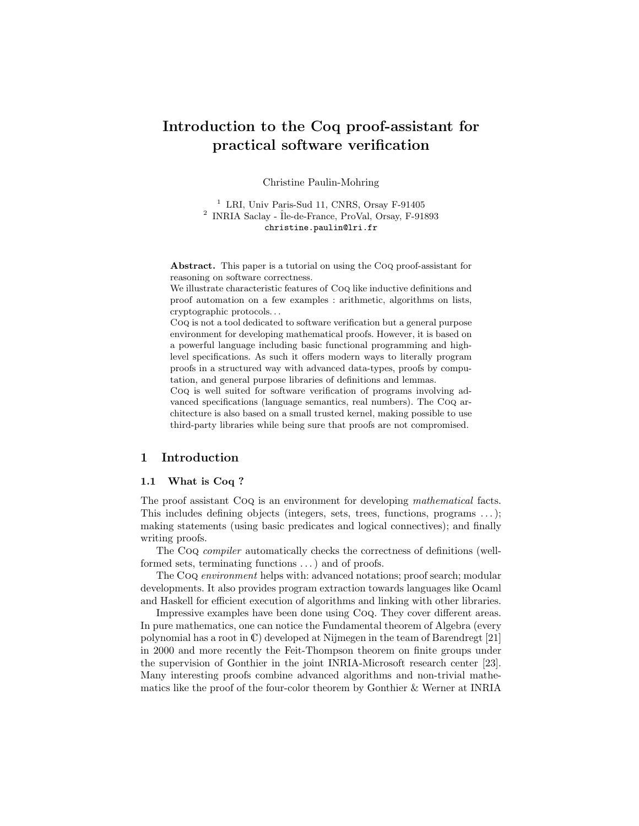# Introduction to the Coq proof-assistant for practical software verification

Christine Paulin-Mohring

<sup>1</sup> LRI, Univ Paris-Sud 11, CNRS, Orsay F-91405 <sup>2</sup> INRIA Saclay - Île-de-France, ProVal, Orsay, F-91893 christine.paulin@lri.fr

Abstract. This paper is a tutorial on using the Coq proof-assistant for reasoning on software correctness.

We illustrate characteristic features of Coq like inductive definitions and proof automation on a few examples : arithmetic, algorithms on lists, cryptographic protocols. . .

Coq is not a tool dedicated to software verification but a general purpose environment for developing mathematical proofs. However, it is based on a powerful language including basic functional programming and highlevel specifications. As such it offers modern ways to literally program proofs in a structured way with advanced data-types, proofs by computation, and general purpose libraries of definitions and lemmas.

Coq is well suited for software verification of programs involving advanced specifications (language semantics, real numbers). The Coq architecture is also based on a small trusted kernel, making possible to use third-party libraries while being sure that proofs are not compromised.

## 1 Introduction

## 1.1 What is Coq ?

The proof assistant Coq is an environment for developing mathematical facts. This includes defining objects (integers, sets, trees, functions, programs . . . ); making statements (using basic predicates and logical connectives); and finally writing proofs.

The Coq compiler automatically checks the correctness of definitions (wellformed sets, terminating functions . . . ) and of proofs.

The Coq environment helps with: advanced notations; proof search; modular developments. It also provides program extraction towards languages like Ocaml and Haskell for efficient execution of algorithms and linking with other libraries.

Impressive examples have been done using Coq. They cover different areas. In pure mathematics, one can notice the Fundamental theorem of Algebra (every polynomial has a root in C) developed at Nijmegen in the team of Barendregt [21] in 2000 and more recently the Feit-Thompson theorem on finite groups under the supervision of Gonthier in the joint INRIA-Microsoft research center [23]. Many interesting proofs combine advanced algorithms and non-trivial mathematics like the proof of the four-color theorem by Gonthier & Werner at INRIA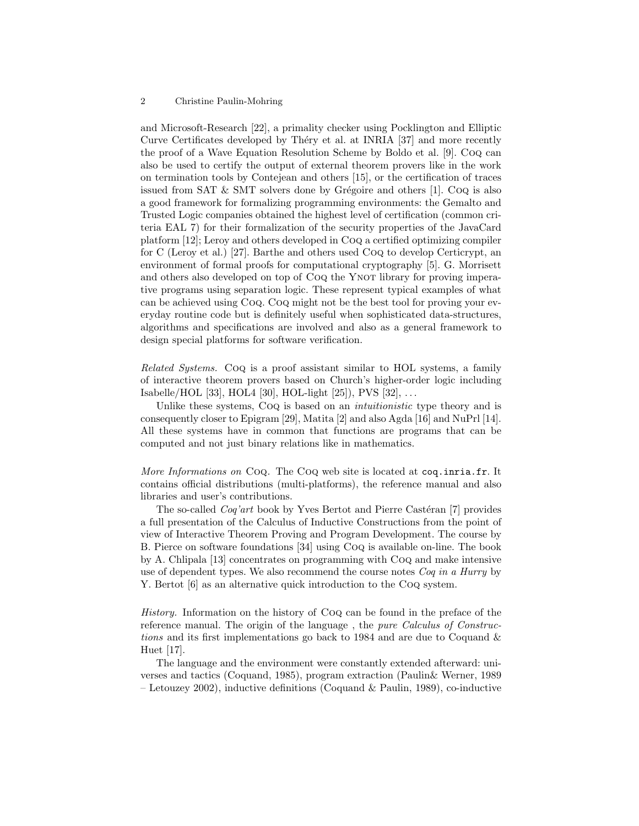and Microsoft-Research [22], a primality checker using Pocklington and Elliptic Curve Certificates developed by Théry et al. at INRIA [37] and more recently the proof of a Wave Equation Resolution Scheme by Boldo et al. [9]. Coq can also be used to certify the output of external theorem provers like in the work on termination tools by Contejean and others [15], or the certification of traces issued from SAT  $&$  SMT solvers done by Grégoire and others [1]. Coq is also a good framework for formalizing programming environments: the Gemalto and Trusted Logic companies obtained the highest level of certification (common criteria EAL 7) for their formalization of the security properties of the JavaCard platform [12]; Leroy and others developed in Coq a certified optimizing compiler for C (Leroy et al.) [27]. Barthe and others used Coq to develop Certicrypt, an environment of formal proofs for computational cryptography [5]. G. Morrisett and others also developed on top of CoQ the YNOT library for proving imperative programs using separation logic. These represent typical examples of what can be achieved using Coq. Coq might not be the best tool for proving your everyday routine code but is definitely useful when sophisticated data-structures, algorithms and specifications are involved and also as a general framework to design special platforms for software verification.

Related Systems. Coq is a proof assistant similar to HOL systems, a family of interactive theorem provers based on Church's higher-order logic including Isabelle/HOL [33], HOL4 [30], HOL-light [25]), PVS [32], . . .

Unlike these systems, CoQ is based on an *intuitionistic* type theory and is consequently closer to Epigram [29], Matita [2] and also Agda [16] and NuPrl [14]. All these systems have in common that functions are programs that can be computed and not just binary relations like in mathematics.

More Informations on Coq. The Coq web site is located at coq.inria.fr. It contains official distributions (multi-platforms), the reference manual and also libraries and user's contributions.

The so-called  $Cog'art$  book by Yves Bertot and Pierre Castéran [7] provides a full presentation of the Calculus of Inductive Constructions from the point of view of Interactive Theorem Proving and Program Development. The course by B. Pierce on software foundations [34] using Coq is available on-line. The book by A. Chlipala [13] concentrates on programming with Coq and make intensive use of dependent types. We also recommend the course notes  $Cog$  in a Hurry by Y. Bertot [6] as an alternative quick introduction to the Coq system.

History. Information on the history of Coq can be found in the preface of the reference manual. The origin of the language , the pure Calculus of Constructions and its first implementations go back to 1984 and are due to Coquand & Huet [17].

The language and the environment were constantly extended afterward: universes and tactics (Coquand, 1985), program extraction (Paulin& Werner, 1989 – Letouzey 2002), inductive definitions (Coquand & Paulin, 1989), co-inductive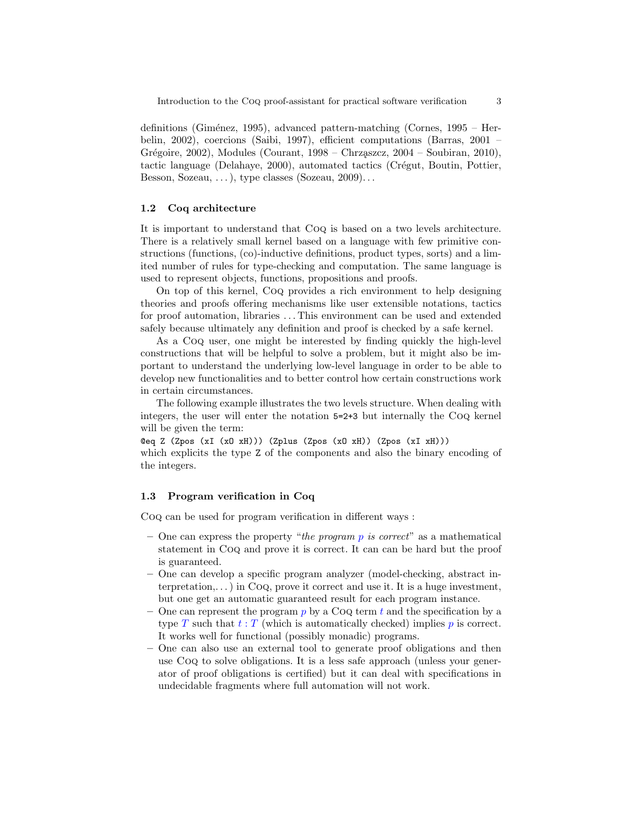definitions (Giménez, 1995), advanced pattern-matching (Cornes, 1995 – Herbelin, 2002), coercions (Saibi, 1997), efficient computations (Barras, 2001 – Grégoire, 2002), Modules (Courant, 1998 – Chrzaszcz, 2004 – Soubiran, 2010), tactic language (Delahaye, 2000), automated tactics (Crégut, Boutin, Pottier, Besson, Sozeau, ...), type classes (Sozeau, 2009)...

#### 1.2 Coq architecture

It is important to understand that Coq is based on a two levels architecture. There is a relatively small kernel based on a language with few primitive constructions (functions, (co)-inductive definitions, product types, sorts) and a limited number of rules for type-checking and computation. The same language is used to represent objects, functions, propositions and proofs.

On top of this kernel, Coq provides a rich environment to help designing theories and proofs offering mechanisms like user extensible notations, tactics for proof automation, libraries . . . This environment can be used and extended safely because ultimately any definition and proof is checked by a safe kernel.

As a Coq user, one might be interested by finding quickly the high-level constructions that will be helpful to solve a problem, but it might also be important to understand the underlying low-level language in order to be able to develop new functionalities and to better control how certain constructions work in certain circumstances.

The following example illustrates the two levels structure. When dealing with integers, the user will enter the notation 5=2+3 but internally the Coq kernel will be given the term:

@eq Z (Zpos (xI (xO xH))) (Zplus (Zpos (xO xH)) (Zpos (xI xH))) which explicits the type Z of the components and also the binary encoding of the integers.

## 1.3 Program verification in Coq

Coq can be used for program verification in different ways :

- One can express the property "the program p is correct" as a mathematical statement in Coq and prove it is correct. It can can be hard but the proof is guaranteed.
- One can develop a specific program analyzer (model-checking, abstract interpretation,...) in CoQ, prove it correct and use it. It is a huge investment, but one get an automatic guaranteed result for each program instance.
- One can represent the program p by a CoQ term t and the specification by a type T such that  $t : T$  (which is automatically checked) implies p is correct. It works well for functional (possibly monadic) programs.
- One can also use an external tool to generate proof obligations and then use Coq to solve obligations. It is a less safe approach (unless your generator of proof obligations is certified) but it can deal with specifications in undecidable fragments where full automation will not work.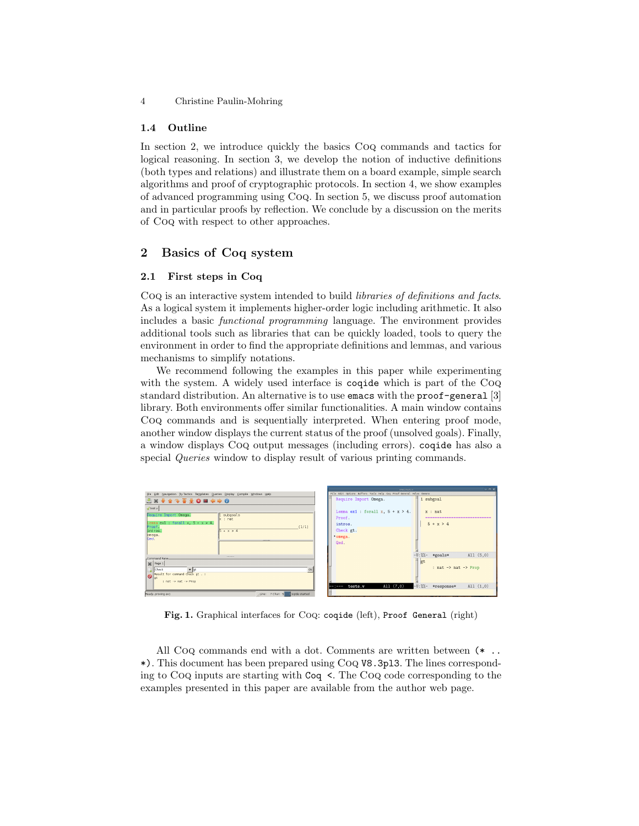### 1.4 Outline

In section 2, we introduce quickly the basics Coq commands and tactics for logical reasoning. In section 3, we develop the notion of inductive definitions (both types and relations) and illustrate them on a board example, simple search algorithms and proof of cryptographic protocols. In section 4, we show examples of advanced programming using Coq. In section 5, we discuss proof automation and in particular proofs by reflection. We conclude by a discussion on the merits of Coq with respect to other approaches.

## 2 Basics of Coq system

## 2.1 First steps in Coq

Coq is an interactive system intended to build libraries of definitions and facts. As a logical system it implements higher-order logic including arithmetic. It also includes a basic functional programming language. The environment provides additional tools such as libraries that can be quickly loaded, tools to query the environment in order to find the appropriate definitions and lemmas, and various mechanisms to simplify notations.

We recommend following the examples in this paper while experimenting with the system. A widely used interface is coqide which is part of the Coq standard distribution. An alternative is to use emacs with the proof-general [3] library. Both environments offer similar functionalities. A main window contains Coq commands and is sequentially interpreted. When entering proof mode, another window displays the current status of the proof (unsolved goals). Finally, a window displays Coq output messages (including errors). coqide has also a special *Queries* window to display result of various printing commands.



Fig. 1. Graphical interfaces for Coq: coqide (left), Proof General (right)

All Coq commands end with a dot. Comments are written between (\* .. \*). This document has been prepared using Coq V8.3pl3. The lines corresponding to Coq inputs are starting with Coq <. The Coq code corresponding to the examples presented in this paper are available from the author web page.

<sup>4</sup> Christine Paulin-Mohring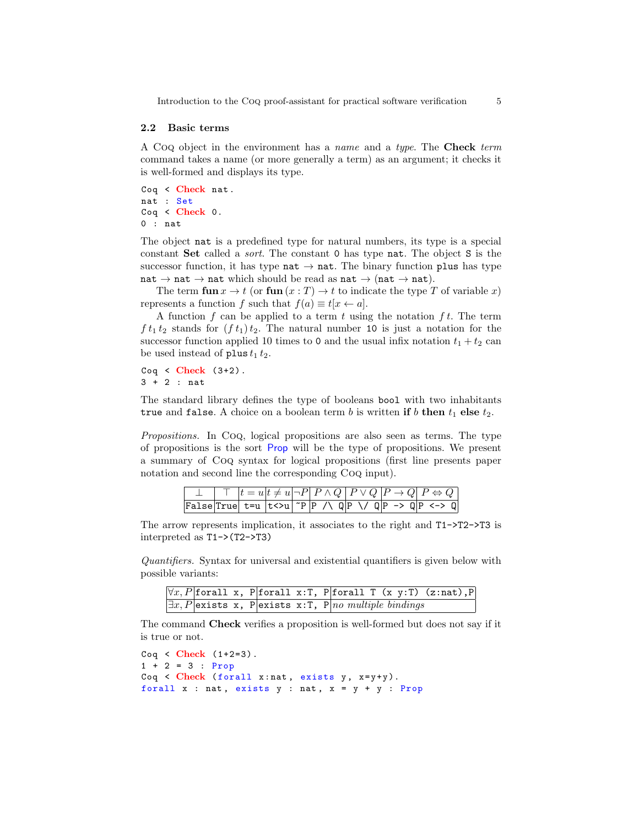Introduction to the Coq proof-assistant for practical software verification  $5$ 

### 2.2 Basic terms

A Coq object in the environment has a name and a type. The Check term command takes a name (or more generally a term) as an argument; it checks it is well-formed and displays its type.

Coq < Check nat. nat : Set  $Coq < Check 0$ . 0 : nat

The object nat is a predefined type for natural numbers, its type is a special constant Set called a sort. The constant 0 has type nat. The object S is the successor function, it has type  $nat \rightarrow nat$ . The binary function plus has type  $nat \rightarrow nat \rightarrow nat$  which should be read as  $nat \rightarrow (nat \rightarrow nat)$ .

The term fun  $x \to t$  (or fun  $(x : T) \to t$  to indicate the type T of variable x) represents a function f such that  $f(a) \equiv t[x \leftarrow a]$ .

A function f can be applied to a term t using the notation f t. The term  $f t_1 t_2$  stands for  $(f t_1) t_2$ . The natural number 10 is just a notation for the successor function applied 10 times to 0 and the usual infix notation  $t_1 + t_2$  can be used instead of plus  $t_1 t_2$ .

 $Coq \leftarrow Check \left(3+2\right)$ . 3 + 2 : nat

The standard library defines the type of booleans bool with two inhabitants true and false. A choice on a boolean term b is written if b then  $t_1$  else  $t_2$ .

Propositions. In Coq, logical propositions are also seen as terms. The type of propositions is the sort Prop will be the type of propositions. We present a summary of Coq syntax for logical propositions (first line presents paper notation and second line the corresponding Coq input).

|  | $\top  t = u t \neq u   \neg P   P \wedge Q   P \vee Q   P \rightarrow Q   P \Leftrightarrow Q$ |  |  |  |  |  |  |  |
|--|-------------------------------------------------------------------------------------------------|--|--|--|--|--|--|--|
|  |                                                                                                 |  |  |  |  |  |  |  |

The arrow represents implication, it associates to the right and T1->T2->T3 is interpreted as T1->(T2->T3)

Quantifiers. Syntax for universal and existential quantifiers is given below with possible variants:

|  |  |  |  |  |                                                                | $\forall x, P$ forall x, P forall x:T, P forall T (x y:T) (z:nat), P |
|--|--|--|--|--|----------------------------------------------------------------|----------------------------------------------------------------------|
|  |  |  |  |  | $\exists x, P$ exists x, P exists x: T, P no multiple bindings |                                                                      |

The command Check verifies a proposition is well-formed but does not say if it is true or not.

```
Coq \leftarrow Check \left(1+2=3\right).
1 + 2 = 3 : Prop
Coq < Check (forall x:nat, exists y, x=y+y).
forall x : nat, exists y : nat, x = y + y : Prop
```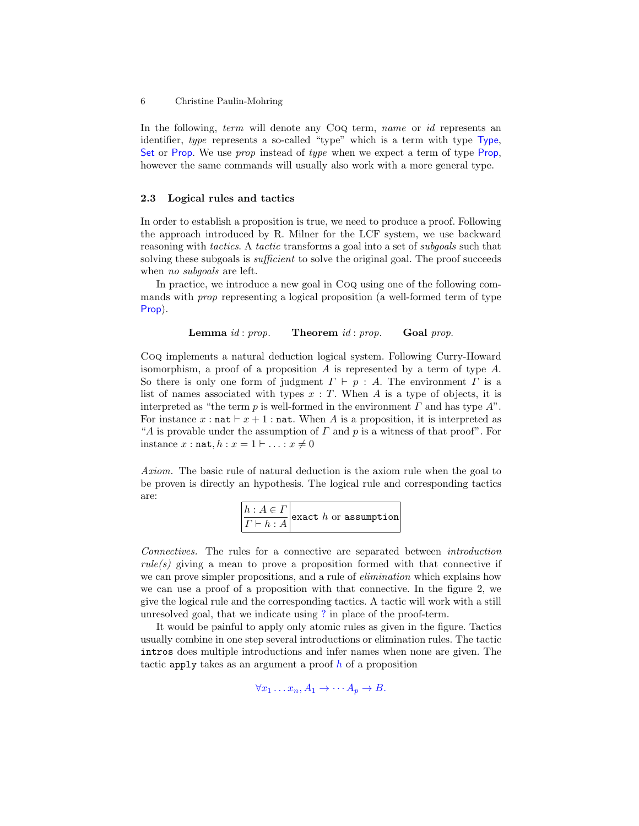In the following, *term* will denote any Coq term, *name* or *id* represents an identifier, type represents a so-called "type" which is a term with type Type, Set or Prop. We use *prop* instead of *type* when we expect a term of type Prop, however the same commands will usually also work with a more general type.

## 2.3 Logical rules and tactics

In order to establish a proposition is true, we need to produce a proof. Following the approach introduced by R. Milner for the LCF system, we use backward reasoning with *tactics*. A *tactic* transforms a goal into a set of *subgoals* such that solving these subgoals is *sufficient* to solve the original goal. The proof succeeds when *no subgoals* are left.

In practice, we introduce a new goal in Coq using one of the following commands with prop representing a logical proposition (a well-formed term of type Prop).

Lemma id: prop. Theorem id: prop. Goal prop.

Coq implements a natural deduction logical system. Following Curry-Howard isomorphism, a proof of a proposition  $A$  is represented by a term of type  $A$ . So there is only one form of judgment  $\Gamma \vdash p : A$ . The environment  $\Gamma$  is a list of names associated with types  $x : T$ . When  $A$  is a type of objects, it is interpreted as "the term  $p$  is well-formed in the environment  $\Gamma$  and has type  $A$ ". For instance  $x : \text{nat} \vdash x + 1 : \text{nat}$ . When A is a proposition, it is interpreted as "A is provable under the assumption of  $\Gamma$  and  $p$  is a witness of that proof". For instance  $x : \texttt{nat}, h : x = 1 \vdash \ldots : x \neq 0$ 

Axiom. The basic rule of natural deduction is the axiom rule when the goal to be proven is directly an hypothesis. The logical rule and corresponding tactics are:

| $h: A \in \Gamma$                                 |  | $\frac{1}{1}$ exact h or assumption |
|---------------------------------------------------|--|-------------------------------------|
| $\left  \overline{ \Gamma \vdash h : A } \right $ |  |                                     |

Connectives. The rules for a connective are separated between introduction  $rule(s)$  giving a mean to prove a proposition formed with that connective if we can prove simpler propositions, and a rule of *elimination* which explains how we can use a proof of a proposition with that connective. In the figure 2, we give the logical rule and the corresponding tactics. A tactic will work with a still unresolved goal, that we indicate using ? in place of the proof-term.

It would be painful to apply only atomic rules as given in the figure. Tactics usually combine in one step several introductions or elimination rules. The tactic intros does multiple introductions and infer names when none are given. The tactic apply takes as an argument a proof  $h$  of a proposition

$$
\forall x_1 \dots x_n, A_1 \to \cdots A_p \to B.
$$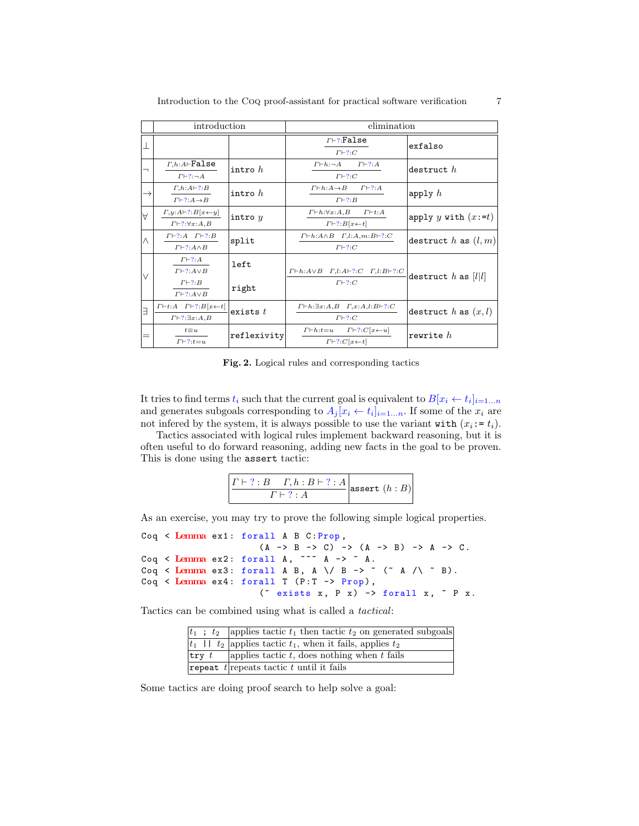|           | introduction                                                                                        |             | elimination                                                                                            |                        |  |  |  |
|-----------|-----------------------------------------------------------------------------------------------------|-------------|--------------------------------------------------------------------------------------------------------|------------------------|--|--|--|
|           |                                                                                                     |             | $\Gamma \vdash ?$ :False<br>$\Gamma \vdash ? : C$                                                      | exfalso                |  |  |  |
| ┑         | $\Gamma, h:A \vdash \texttt{False}$<br>$\Gamma \vdash ? : \neg A$                                   | intro $h$   | $\Gamma \vdash ?: A$<br>$\Gamma \vdash h : \neg A$<br>$\Gamma \vdash ? : C$                            | $destruct$ h           |  |  |  |
|           | $\Gamma, h: A \vdash ? : B$<br>$\Gamma \vdash ? : A \rightarrow B$                                  | intro $h$   | $\Gamma \vdash h:A \rightarrow B$<br>$\Gamma \vdash ?: A$<br>$\Gamma \vdash ? : B$                     | apply $h$              |  |  |  |
| $\forall$ | $\Gamma, y: A \vdash ? : B[x \leftarrow y]$<br>$\Gamma \vdash ? : \forall x:A,B$                    | intro $y$   | $\Gamma \vdash h:\forall x:A,B$<br>$\Gamma \vdash t:A$<br>$\Gamma \vdash ? : B[x \leftarrow t]$        | apply y with $(x:=t)$  |  |  |  |
| $\wedge$  | $\Gamma \vdash ? : A \quad \Gamma \vdash ? : B$<br>$\Gamma \vdash ?: A \land B$                     | split       | $\Gamma \vdash h:A \wedge B \quad \Gamma, l:A,m:B\vdash ?:C$<br>$\Gamma \vdash ? : C$                  | destruct h as $(l,m)$  |  |  |  |
| $\vee$    | $\Gamma \vdash ? : A$<br>$\Gamma \vdash ?: A \vee B$                                                | left        | $\Gamma \vdash h:A\vee B \quad \Gamma, l:A\vdash ?:C \quad \Gamma, l:B\vdash ?:C$                      | destruct h as $ l l $  |  |  |  |
|           | $\Gamma \vdash ? : B$<br>$\Gamma \vdash ?: A \vee B$                                                | right       | $\Gamma \vdash ? : C$                                                                                  |                        |  |  |  |
| $\exists$ | $\Gamma \vdash t:A \quad \Gamma \vdash ? : B[x \leftarrow t]$<br>$\Gamma \vdash$ ?: $\exists x:A,B$ | exists $t$  | $\Gamma \vdash h:\exists x:A,B \quad \Gamma,x:A,l:B\vdash ?:C$<br>$\Gamma \vdash ? : C$                | destruct h as $(x, l)$ |  |  |  |
|           | $t \equiv u$<br>$\Gamma \vdash ? : t = u$                                                           | reflexivity | $\Gamma \vdash ? : C[x \leftarrow u]$<br>$\Gamma\vdash h:t=u$<br>$\Gamma \vdash ? : C[x \leftarrow t]$ | rewrite $h$            |  |  |  |

Fig. 2. Logical rules and corresponding tactics

It tries to find terms  $t_i$  such that the current goal is equivalent to  $B[x_i \leftarrow t_i]_{i=1...n}$ and generates subgoals corresponding to  $A_j[x_i \leftarrow t_i]_{i=1...n}$ . If some of the  $x_i$  are not infered by the system, it is always possible to use the variant with  $(x_i := t_i)$ .

Tactics associated with logical rules implement backward reasoning, but it is often useful to do forward reasoning, adding new facts in the goal to be proven. This is done using the assert tactic:

| $L \vdash ? : B \_ I, h : B \vdash ? : A \big  \text{assert } (h : B)$ |  |
|------------------------------------------------------------------------|--|
| $\Gamma \vdash ?$ A                                                    |  |

As an exercise, you may try to prove the following simple logical properties.

```
Coq < Lemma ex1: forall A B C: Prop,
                           (A \rightarrow B \rightarrow C) \rightarrow (A \rightarrow B) \rightarrow A \rightarrow C.
Coq < Lemma ex2: forall A, \sim \sim A -> \sim A.
Coq < Lemma ex3: forall A B, A \/ B -> ~ (~ A /\ ~ B).
Coq < Lemma ex4: forall T (P:T \rightarrow Prop),
                           ( \sim exists x, P x) -> forall x, \sim P x.
```
Tactics can be combined using what is called a tactical:

|                     | $ t_1 $ ; $t_2$ applies tactic $t_1$ then tactic $t_2$ on generated subgoals |
|---------------------|------------------------------------------------------------------------------|
|                     | $[t_1 \mid t_2]$ applies tactic $t_1$ , when it fails, applies $t_2$         |
| $ \texttt{try } t $ | applies tactic $t$ , does nothing when $t$ fails                             |
|                     | <b>repeat</b> t repeats tactic t until it fails                              |

Some tactics are doing proof search to help solve a goal: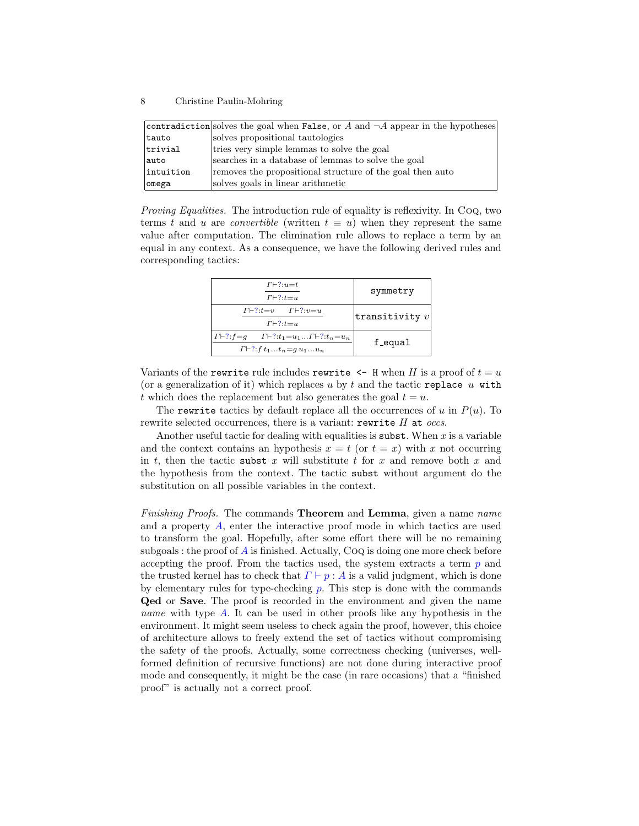|           | contradiction solves the goal when False, or A and $\neg A$ appear in the hypotheses |
|-----------|--------------------------------------------------------------------------------------|
| tauto     | solves propositional tautologies                                                     |
| trivial   | tries very simple lemmas to solve the goal                                           |
| lauto     | searches in a database of lemmas to solve the goal                                   |
| intuition | removes the propositional structure of the goal then auto                            |
| omega     | solves goals in linear arithmetic                                                    |

Proving Equalities. The introduction rule of equality is reflexivity. In Coq, two terms t and u are *convertible* (written  $t \equiv u$ ) when they represent the same value after computation. The elimination rule allows to replace a term by an equal in any context. As a consequence, we have the following derived rules and corresponding tactics:

| $\Gamma\vdash ?:u=t$<br>$\Gamma\vdash ?: t=u$                                                                                               | symmetry         |
|---------------------------------------------------------------------------------------------------------------------------------------------|------------------|
| $\Gamma \vdash ? : t = v$ $\Gamma \vdash ? : v = u$<br>$\Gamma\vdash$ ? $t=u$                                                               | transitivity $v$ |
| $\Gamma \vdash ? : f = q$<br>$\Gamma \vdash ? : t_1 = u_1 \dots \Gamma \vdash ? : t_n = u_n$<br>$\Gamma \vdash ? : f t_1  t_n = q u_1  u_n$ | f_equal          |

Variants of the rewrite rule includes rewrite  $\leq$ - H when H is a proof of  $t = u$ (or a generalization of it) which replaces u by t and the tactic replace u with t which does the replacement but also generates the goal  $t = u$ .

The rewrite tactics by default replace all the occurrences of u in  $P(u)$ . To rewrite selected occurrences, there is a variant: rewrite  $H$  at occs.

Another useful tactic for dealing with equalities is subst. When  $x$  is a variable and the context contains an hypothesis  $x = t$  (or  $t = x$ ) with x not occurring in t, then the tactic subst x will substitute t for x and remove both x and the hypothesis from the context. The tactic subst without argument do the substitution on all possible variables in the context.

Finishing Proofs. The commands **Theorem** and Lemma, given a name name and a property  $A$ , enter the interactive proof mode in which tactics are used to transform the goal. Hopefully, after some effort there will be no remaining subgoals : the proof of  $\vec{A}$  is finished. Actually, Coq is doing one more check before accepting the proof. From the tactics used, the system extracts a term  $p$  and the trusted kernel has to check that  $\Gamma \vdash p : A$  is a valid judgment, which is done by elementary rules for type-checking  $p$ . This step is done with the commands Qed or Save. The proof is recorded in the environment and given the name *name* with type  $\vec{A}$ . It can be used in other proofs like any hypothesis in the environment. It might seem useless to check again the proof, however, this choice of architecture allows to freely extend the set of tactics without compromising the safety of the proofs. Actually, some correctness checking (universes, wellformed definition of recursive functions) are not done during interactive proof mode and consequently, it might be the case (in rare occasions) that a "finished proof" is actually not a correct proof.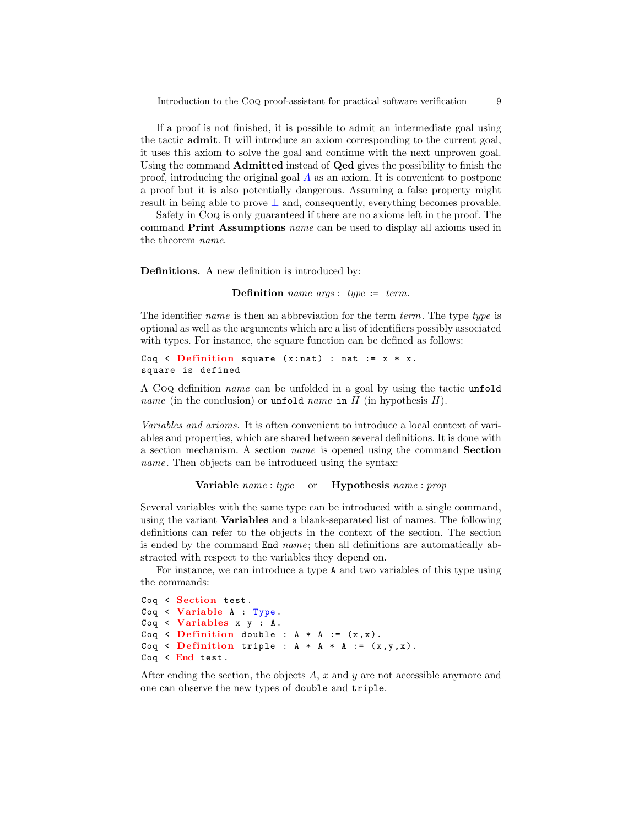If a proof is not finished, it is possible to admit an intermediate goal using the tactic admit. It will introduce an axiom corresponding to the current goal, it uses this axiom to solve the goal and continue with the next unproven goal. Using the command Admitted instead of Qed gives the possibility to finish the proof, introducing the original goal A as an axiom. It is convenient to postpone a proof but it is also potentially dangerous. Assuming a false property might result in being able to prove  $\perp$  and, consequently, everything becomes provable.

Safety in Coq is only guaranteed if there are no axioms left in the proof. The command Print Assumptions name can be used to display all axioms used in the theorem name.

Definitions. A new definition is introduced by:

**Definition** name  $args: type := term$ .

The identifier *name* is then an abbreviation for the term *term*. The type type is optional as well as the arguments which are a list of identifiers possibly associated with types. For instance, the square function can be defined as follows:

```
Coq < Definition square (x : nat) : nat := x * x.
square is defined
```
A Coq definition name can be unfolded in a goal by using the tactic unfold *name* (in the conclusion) or unfold *name* in  $H$  (in hypothesis  $H$ ).

Variables and axioms. It is often convenient to introduce a local context of variables and properties, which are shared between several definitions. It is done with a section mechanism. A section name is opened using the command Section name. Then objects can be introduced using the syntax:

Variable name : type or Hypothesis name : prop

Several variables with the same type can be introduced with a single command, using the variant Variables and a blank-separated list of names. The following definitions can refer to the objects in the context of the section. The section is ended by the command End *name*; then all definitions are automatically abstracted with respect to the variables they depend on.

For instance, we can introduce a type A and two variables of this type using the commands:

```
Coq < Section test .
Coq < Variable A : Type .
Coq < Variables x y : A.
Coq < Definition double : A * A := (x, x).
Coq < Definition triple : A * A * A := (x,y,x).
Coq < End test.
```
After ending the section, the objects  $A$ ,  $x$  and  $y$  are not accessible anymore and one can observe the new types of double and triple.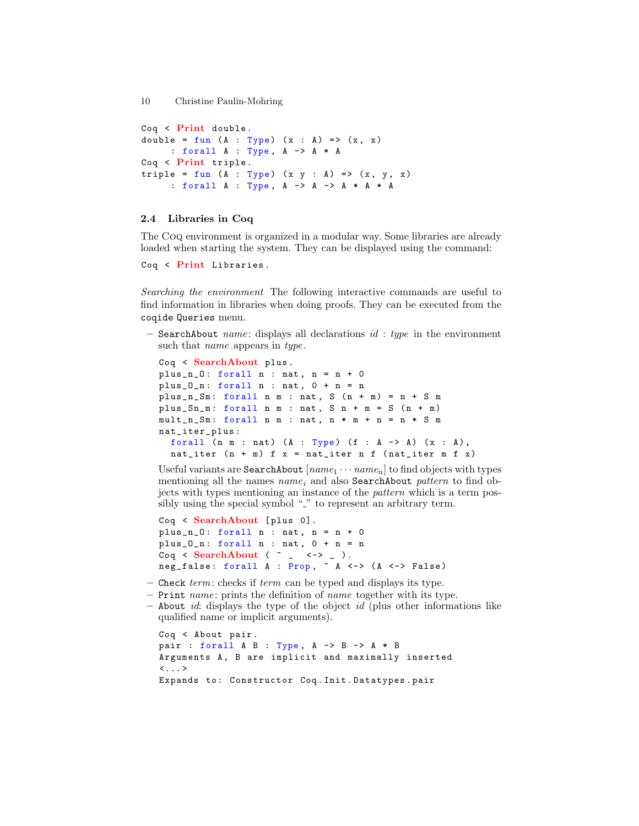```
Coq < Print double .
double = fun (A : Type) (x : A) => (x, x): forall A : Type , A -> A * A
Coq < Print triple .
triple = fun (A : Type) (x y : A) => (x, y, x): forall A : Type , A -> A -> A * A * A
```
### 2.4 Libraries in Coq

The Coq environment is organized in a modular way. Some libraries are already loaded when starting the system. They can be displayed using the command:

Coq < Print Libraries.

Searching the environment The following interactive commands are useful to find information in libraries when doing proofs. They can be executed from the coqide Queries menu.

– SearchAbout name: displays all declarations  $id$ : type in the environment such that *name* appears in *type*.

```
Coq < SearchAbout plus .
plus_n_0: forall n : nat, n = n + 0plus_0_n: forall n : nat, 0 + n = nplus_n_Sm: forall n m : nat, S(n + m) = n + S m
plus_Sn_m: forall n m : nat, S n + m = S (n + m)mult_n_Sm: forall n m : nat, n * m + n = n * S mnat_iter_plus :
 forall (n m : nat) (A : Type) (f : A \rightarrow A) (x : A),
  nat_iter (n + m) f x = nat_iter n f (nat_iter m f x)
```
Useful variants are SearchAbout  $[name_1 \cdots name_n]$  to find objects with types mentioning all the names  $name_i$  and also SearchAbout pattern to find objects with types mentioning an instance of the pattern which is a term possibly using the special symbol " $\cdot$ " to represent an arbitrary term.

```
Coq < SearchAbout [plus 0].
plus_n_0: forall n : nat, n = n + 0plus_0_n: forall n: nat, 0 + n = nCoq < SearchAbout ( \sim _ <-> _ ).
neg_false: forall A : <mark>Prop, ~ A <-> (A <-> False)</mark>
```
- Check term: checks if term can be typed and displays its type.
- $-$  Print *name*: prints the definition of *name* together with its type.
- $-$  About *id*: displays the type of the object *id* (plus other informations like qualified name or implicit arguments).

```
Coq < About pair .
pair : forall A B : Type, A \rightarrow B \rightarrow A * BArguments A, B are implicit and maximally inserted
\langle \ldots \rangleExpands to: Constructor Coq. Init. Datatypes. pair
```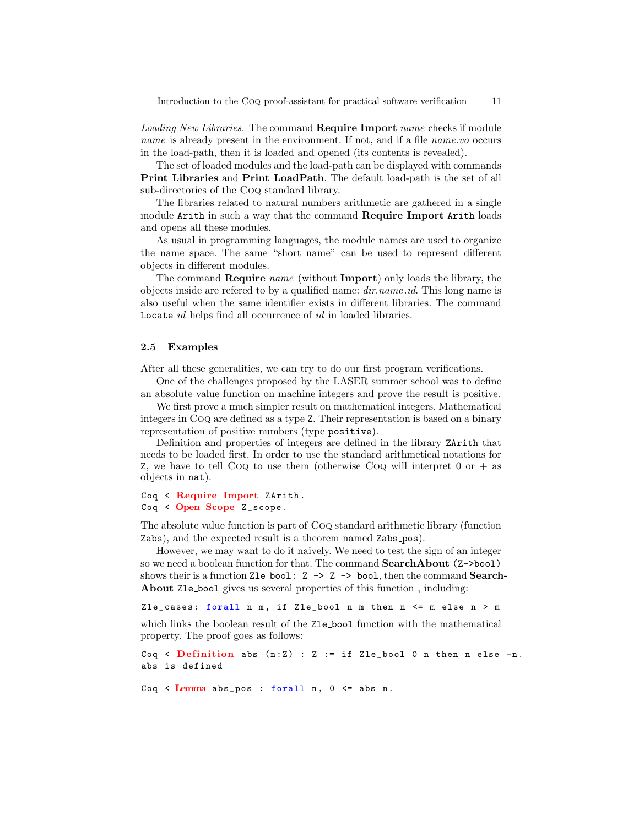Loading New Libraries. The command **Require Import** name checks if module name is already present in the environment. If not, and if a file name.vo occurs in the load-path, then it is loaded and opened (its contents is revealed).

The set of loaded modules and the load-path can be displayed with commands Print Libraries and Print LoadPath. The default load-path is the set of all sub-directories of the Coq standard library.

The libraries related to natural numbers arithmetic are gathered in a single module Arith in such a way that the command **Require Import Arith** loads and opens all these modules.

As usual in programming languages, the module names are used to organize the name space. The same "short name" can be used to represent different objects in different modules.

The command **Require** name (without **Import**) only loads the library, the objects inside are refered to by a qualified name: dir.name .id. This long name is also useful when the same identifier exists in different libraries. The command Locate  $id$  helps find all occurrence of  $id$  in loaded libraries.

#### 2.5 Examples

After all these generalities, we can try to do our first program verifications.

One of the challenges proposed by the LASER summer school was to define an absolute value function on machine integers and prove the result is positive.

We first prove a much simpler result on mathematical integers. Mathematical integers in Coq are defined as a type Z. Their representation is based on a binary representation of positive numbers (type positive).

Definition and properties of integers are defined in the library ZArith that needs to be loaded first. In order to use the standard arithmetical notations for Z, we have to tell Coq to use them (otherwise Coq will interpret  $0$  or  $+$  as objects in nat).

Coq < Require Import ZArith . Coq < Open Scope Z\_scope .

The absolute value function is part of Coq standard arithmetic library (function Zabs), and the expected result is a theorem named Zabs\_pos).

However, we may want to do it naively. We need to test the sign of an integer so we need a boolean function for that. The command SearchAbout (Z->bool) shows their is a function Zle<sub>-</sub>bool:  $Z \rightarrow Z \rightarrow$  bool, then the command **Search-**About Zle bool gives us several properties of this function , including:

Zle\_cases: forall  $n$  m, if Zle\_bool  $n$  m then  $n$  <= m else  $n$  > m

which links the boolean result of the Zle bool function with the mathematical property. The proof goes as follows:

Coq < Definition abs  $(n:Z)$  : Z := if Zle\_bool 0 n then n else -n. abs is defined

Coq < Lemma abs\_pos : forall  $n, 0$  <= abs  $n$ .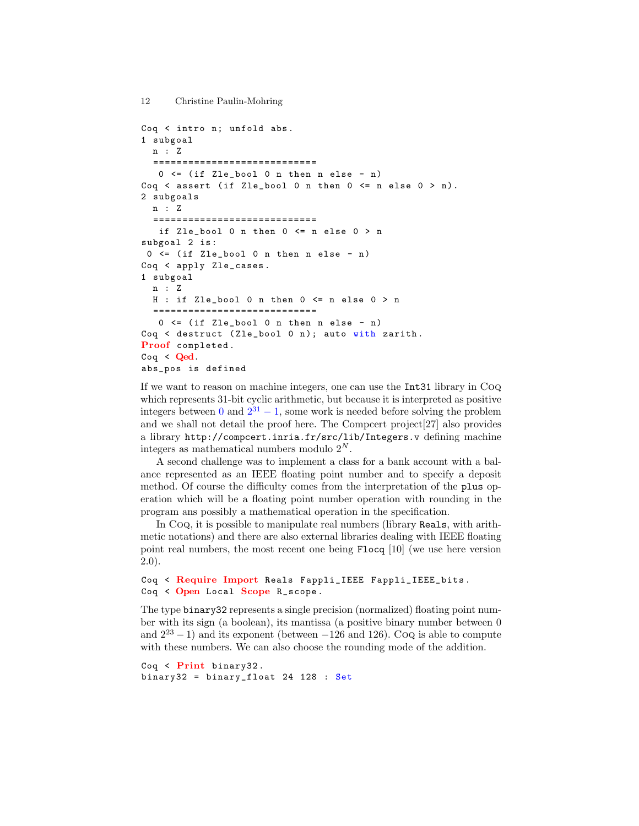```
Coq < intro n; unfold abs.
1 subgoal
  n : Z
  ============================
   0 \leq (if \text{Zle\_bool} 0 n then n else - n)Coq \leq assert (if Zle_bool 0 n then 0 \leq n else 0 > n).
2 subgoals
  n : Z
  ============================
   if Zle_bool 0 n then 0 \le n else 0 > nsubgoal 2 is :
 0 \leq (if 2le_{bool} 0 n then n else - n)Coq < apply Zle_cases .
1 subgoal
  n : Z
  H : if Zle_bool 0 n then 0 \le n else 0 > n============================
   0 \leq (if \text{Zle\_bool} 0 n then n else - n)Coq < destruct (Zle_bool 0 n); auto with zarith.
Proof completed .
Coq < Qed.
abs_pos is defined
```
If we want to reason on machine integers, one can use the Int31 library in Coq which represents 31-bit cyclic arithmetic, but because it is interpreted as positive integers between 0 and  $2^{31} - 1$ , some work is needed before solving the problem and we shall not detail the proof here. The Compcert project[27] also provides a library http://compcert.inria.fr/src/lib/Integers.v defining machine integers as mathematical numbers modulo  $2^N$ .

A second challenge was to implement a class for a bank account with a balance represented as an IEEE floating point number and to specify a deposit method. Of course the difficulty comes from the interpretation of the plus operation which will be a floating point number operation with rounding in the program ans possibly a mathematical operation in the specification.

In Coq, it is possible to manipulate real numbers (library Reals, with arithmetic notations) and there are also external libraries dealing with IEEE floating point real numbers, the most recent one being Flocq [10] (we use here version 2.0).

```
Coq < Require Import Reals Fappli_IEEE Fappli_IEEE_bits .
Coq < Open Local Scope R_scope.
```
The type binary32 represents a single precision (normalized) floating point number with its sign (a boolean), its mantissa (a positive binary number between 0 and  $2^{23} - 1$ ) and its exponent (between  $-126$  and 126). Coq is able to compute with these numbers. We can also choose the rounding mode of the addition.

```
Coq < Print binary32 .
binary32 = binary_float 24 128 : Set
```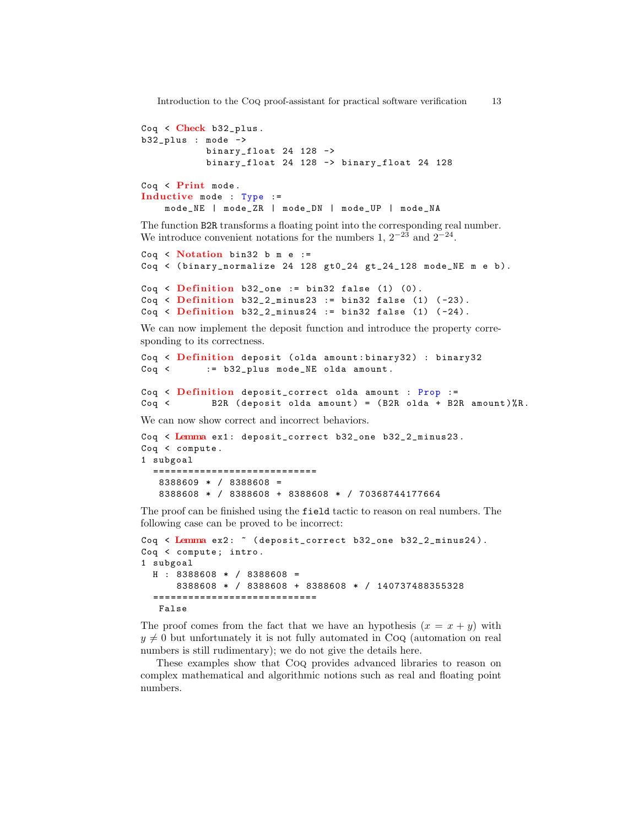Introduction to the Coq proof-assistant for practical software verification 13

```
Coq < Check b32_plus .
b32_plus : mode ->
           binary_float 24 128 ->
           binary_float 24 128 -> binary_float 24 128
Coq < Print mode.
Inductive mode : Type :=
    mode_NE | mode_ZR | mode_DN | mode_UP | mode_NA
```
The function B2R transforms a floating point into the corresponding real number. We introduce convenient notations for the numbers  $1, 2^{-23}$  and  $2^{-24}$ .

```
Coq \leq Notation bin32 b m e :=
Coq < (binary_normalize 24 128 gt0_24 gt_24_128 mode_NE m e b).
Coq \leftarrow Definition b32_one := bin32 false (1) (0).
```

```
Coq < Definition b32_2-minus23 := bin32 false (1) (-23).
Coq \leftarrow Definition b32_2_minus24 := bin32 false (1) (-24).
```
We can now implement the deposit function and introduce the property corresponding to its correctness.

```
Coq < Definition deposit (olda amount: binary32) : binary32
Coq \leq := b32_plus mode_NE olda amount.
```

```
Coq < Definition deposit_correct olda amount : Prop :=
Coq < B2R (deposit olda amount) = (B2R \text{ old } + B2R \text{ amount})\text{%R}.
```
We can now show correct and incorrect behaviors.

```
Coq < Lemma ex1: deposit_correct b32_one b32_2_minus23.
Coq < compute .
1 subgoal
  ============================
   8388609 * / 8388608 =
   8388608 * / 8388608 + 8388608 * / 70368744177664
```
The proof can be finished using the field tactic to reason on real numbers. The following case can be proved to be incorrect:

```
Coq < Lemma ex2: " (deposit_correct b32_one b32_2_minus24).
Coq < compute; intro.
1 subgoal
 H : 8388608 * / 8388608 =
      8388608 * / 8388608 + 8388608 * / 140737488355328
  ============================
   False
```
The proof comes from the fact that we have an hypothesis  $(x = x + y)$  with  $y \neq 0$  but unfortunately it is not fully automated in Coq (automation on real numbers is still rudimentary); we do not give the details here.

These examples show that Coq provides advanced libraries to reason on complex mathematical and algorithmic notions such as real and floating point numbers.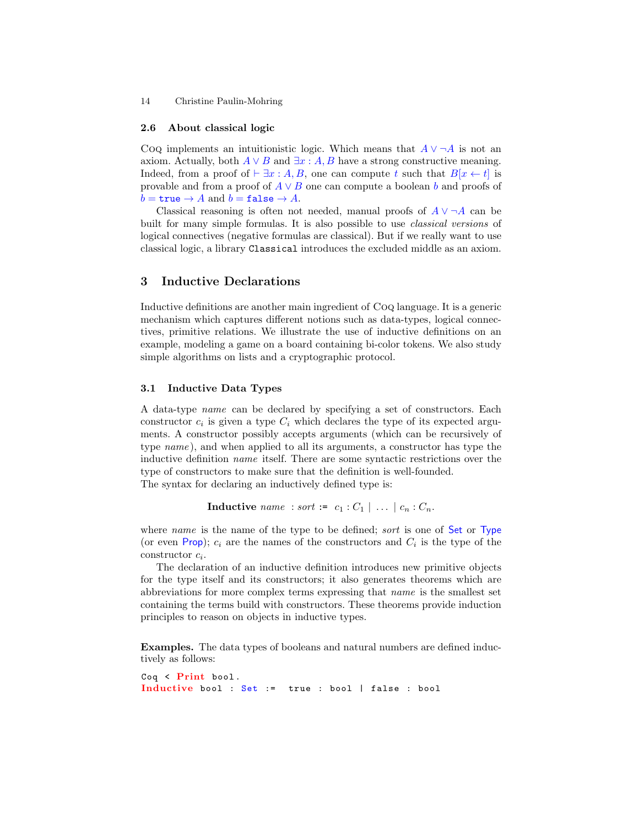#### 2.6 About classical logic

Coq implements an intuitionistic logic. Which means that  $A \vee \neg A$  is not an axiom. Actually, both  $A \vee B$  and  $\exists x : A, B$  have a strong constructive meaning. Indeed, from a proof of  $\vdash \exists x : A, B$ , one can compute t such that  $B[x \leftarrow t]$  is provable and from a proof of  $A \vee B$  one can compute a boolean b and proofs of  $b = \text{true} \rightarrow A$  and  $b = \text{false} \rightarrow A$ .

Classical reasoning is often not needed, manual proofs of  $A \vee \neg A$  can be built for many simple formulas. It is also possible to use *classical versions* of logical connectives (negative formulas are classical). But if we really want to use classical logic, a library Classical introduces the excluded middle as an axiom.

## 3 Inductive Declarations

Inductive definitions are another main ingredient of Coq language. It is a generic mechanism which captures different notions such as data-types, logical connectives, primitive relations. We illustrate the use of inductive definitions on an example, modeling a game on a board containing bi-color tokens. We also study simple algorithms on lists and a cryptographic protocol.

## 3.1 Inductive Data Types

A data-type name can be declared by specifying a set of constructors. Each constructor  $c_i$  is given a type  $C_i$  which declares the type of its expected arguments. A constructor possibly accepts arguments (which can be recursively of type name ), and when applied to all its arguments, a constructor has type the inductive definition name itself. There are some syntactic restrictions over the type of constructors to make sure that the definition is well-founded. The syntax for declaring an inductively defined type is:

```
Inductive name : sort := c_1 : C_1 \mid \ldots \mid c_n : C_n.
```
where *name* is the name of the type to be defined; *sort* is one of Set or Type (or even Prop);  $c_i$  are the names of the constructors and  $C_i$  is the type of the  $\text{constructor } c_i.$ 

The declaration of an inductive definition introduces new primitive objects for the type itself and its constructors; it also generates theorems which are abbreviations for more complex terms expressing that name is the smallest set containing the terms build with constructors. These theorems provide induction principles to reason on objects in inductive types.

Examples. The data types of booleans and natural numbers are defined inductively as follows:

```
Coq < Print bool.
Inductive bool : Set := true : bool | false : bool
```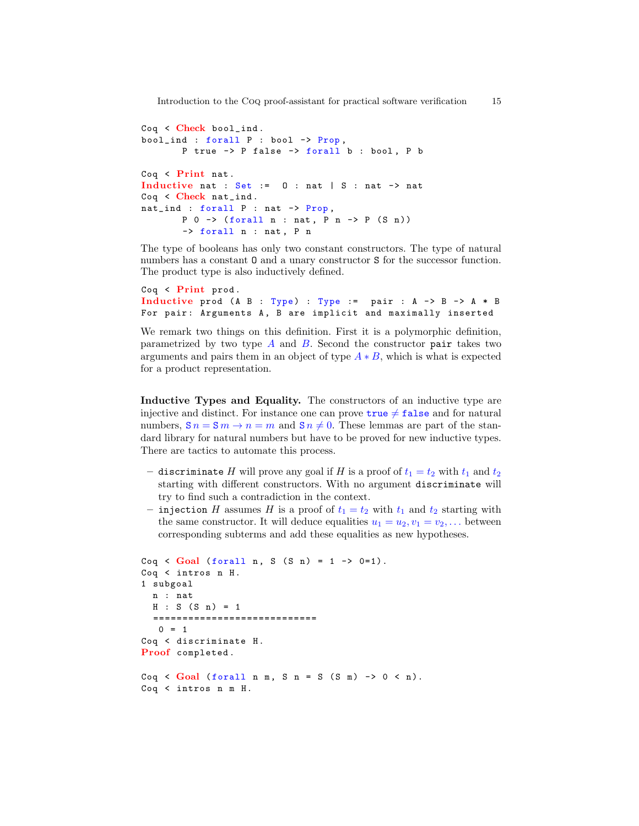```
Coq < Check bool_ind.
bool_ind : forall P : bool -> Prop ,
       P true -> P false -> forall b : bool, P b
Coq \leq Print nat.
Inductive nat : Set := 0 : nat | S : nat \rightarrow nat
Coq < Check nat_ind .
nat_ind : forall P : nat -> Prop ,
       P 0 -> (forall n : nat, P n -> P (S n))
       \rightarrow forall n : nat, P n
```
The type of booleans has only two constant constructors. The type of natural numbers has a constant  $\Omega$  and a unary constructor S for the successor function. The product type is also inductively defined.

```
Coq < Print prod.
Inductive prod (A \ B : Type) : Type := pair : A -> B -> A * B
For pair: Arguments A, B are implicit and maximally inserted
```
We remark two things on this definition. First it is a polymorphic definition, parametrized by two type  $A$  and  $B$ . Second the constructor pair takes two arguments and pairs them in an object of type  $A * B$ , which is what is expected for a product representation.

Inductive Types and Equality. The constructors of an inductive type are injective and distinct. For instance one can prove  $true \neq false$  and for natural numbers,  $S n = S m \rightarrow n = m$  and  $S n \neq 0$ . These lemmas are part of the standard library for natural numbers but have to be proved for new inductive types. There are tactics to automate this process.

- discriminate H will prove any goal if H is a proof of  $t_1 = t_2$  with  $t_1$  and  $t_2$ starting with different constructors. With no argument discriminate will try to find such a contradiction in the context.
- injection H assumes H is a proof of  $t_1 = t_2$  with  $t_1$  and  $t_2$  starting with the same constructor. It will deduce equalities  $u_1 = u_2, v_1 = v_2, \ldots$  between corresponding subterms and add these equalities as new hypotheses.

```
Coq < Goal (for all n, S (S n) = 1 -> 0=1).Coq < intros n H.
1 subgoal
 n : nat
 H : S (S n) = 1============================
  0 = 1Coq < discriminate H.
Proof completed .
Coq < Goal (forall n m, S n = S (S m) -> 0 < n).
Coq < intros n m H.
```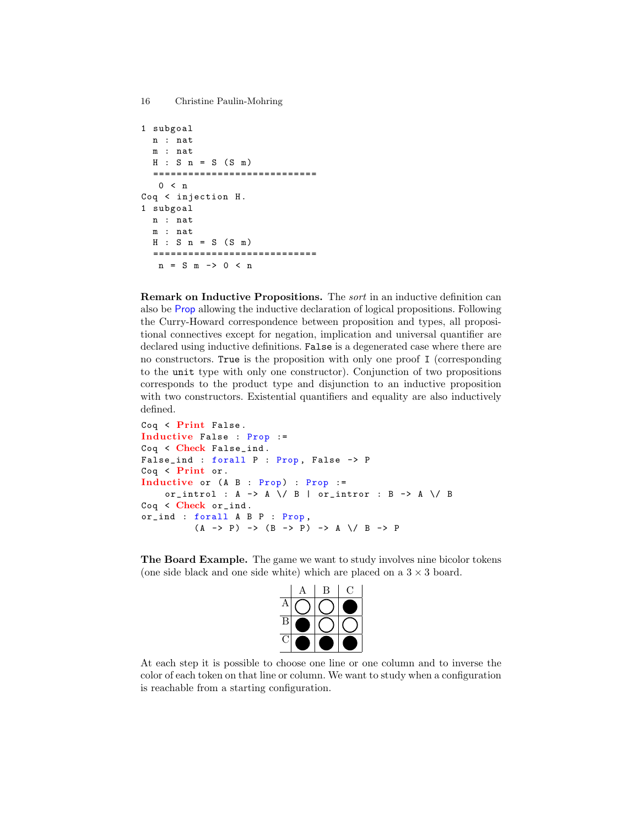```
1 subgoal
 n : nat
 m : nat
  H : S n = S (S m)============================
   0 < nCoq < injection H.
1 subgoal
 n : nat
  m : nat
  H : S n = S (S m)============================
   n = S m -> 0 < n
```
Remark on Inductive Propositions. The sort in an inductive definition can also be Prop allowing the inductive declaration of logical propositions. Following the Curry-Howard correspondence between proposition and types, all propositional connectives except for negation, implication and universal quantifier are declared using inductive definitions. False is a degenerated case where there are no constructors. True is the proposition with only one proof I (corresponding to the unit type with only one constructor). Conjunction of two propositions corresponds to the product type and disjunction to an inductive proposition with two constructors. Existential quantifiers and equality are also inductively defined.

```
Coq < Print False .
Inductive False : Prop :=
Coq < Check False_ind .
False_ind : forall P : Prop, False -> P
Coq < Print or .
Inductive or (A \ B : Prop) : Prop :=
     or_introl : A \rightarrow A \setminus B | or_intror : B \rightarrow A \setminus B
Coq < Check or_ind .
or_ind : forall A B P : Prop ,
            (A \rightarrow P) \rightarrow (B \rightarrow P) \rightarrow A \setminus B \rightarrow P
```
The Board Example. The game we want to study involves nine bicolor tokens (one side black and one side white) which are placed on a  $3 \times 3$  board.



At each step it is possible to choose one line or one column and to inverse the color of each token on that line or column. We want to study when a configuration is reachable from a starting configuration.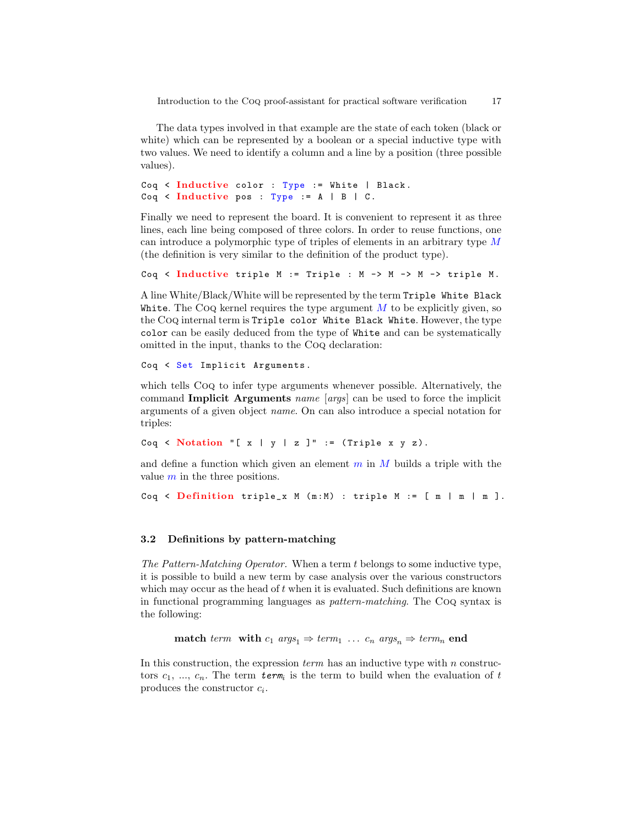The data types involved in that example are the state of each token (black or white) which can be represented by a boolean or a special inductive type with two values. We need to identify a column and a line by a position (three possible values).

```
Coq < Inductive color : Type := White | Black .
Coq \leq Inductive pos : Type := A | B | C.
```
Finally we need to represent the board. It is convenient to represent it as three lines, each line being composed of three colors. In order to reuse functions, one can introduce a polymorphic type of triples of elements in an arbitrary type M (the definition is very similar to the definition of the product type).

Coq < Inductive triple M := Triple : M -> M -> M -> triple M.

A line White/Black/White will be represented by the term Triple White Black White. The CoQ kernel requires the type argument  $M$  to be explicitly given, so the Coq internal term is Triple color White Black White. However, the type color can be easily deduced from the type of White and can be systematically omitted in the input, thanks to the Coq declaration:

```
Coq < Set Implicit Arguments .
```
which tells Coq to infer type arguments whenever possible. Alternatively, the command Implicit Arguments name [args] can be used to force the implicit arguments of a given object name. On can also introduce a special notation for triples:

Coq < Notation "[  $x$  |  $y$  |  $z$  ]" := (Triple  $x$   $y$   $z$ ).

and define a function which given an element  $m$  in  $M$  builds a triple with the value  $m$  in the three positions.

Coq < Definition triple\_x  $M$  (m:M) : triple  $M$  := [m | m | m ].

## 3.2 Definitions by pattern-matching

The Pattern-Matching Operator. When a term t belongs to some inductive type, it is possible to build a new term by case analysis over the various constructors which may occur as the head of t when it is evaluated. Such definitions are known in functional programming languages as pattern-matching. The Coq syntax is the following:

match term with  $c_1$  args<sub>1</sub>  $\Rightarrow$  term<sub>1</sub> ...  $c_n$  args<sub>n</sub>  $\Rightarrow$  term<sub>n</sub> end

In this construction, the expression  $term$  has an inductive type with n constructors  $c_1, \ldots, c_n$ . The term  $term_i$  is the term to build when the evaluation of t produces the constructor  $c_i$ .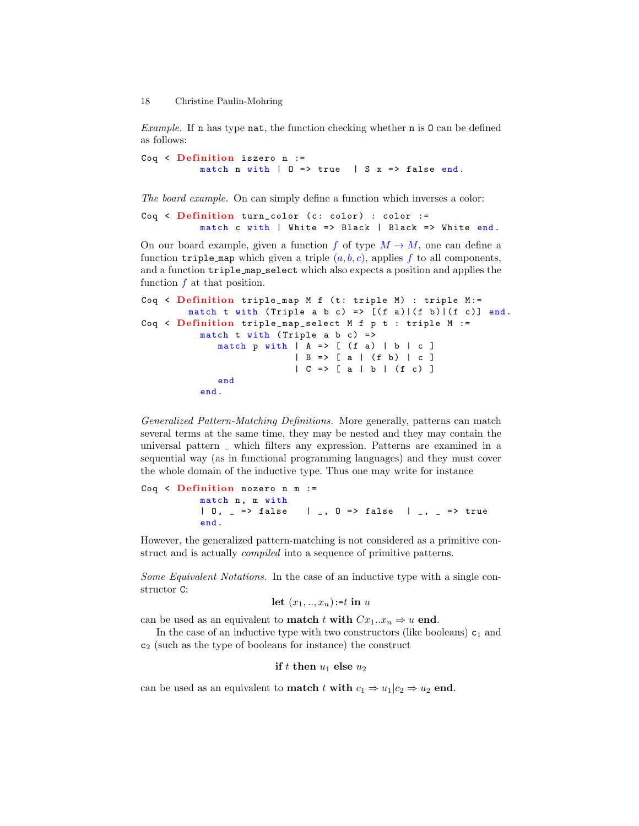*Example.* If **n** has type **nat**, the function checking whether **n** is 0 can be defined as follows:

 $Coq$  < Definition iszero n := match n with  $| 0 \Rightarrow$  true  $| S x \Rightarrow$  false end.

The board example. On can simply define a function which inverses a color:

Coq < Definition turn\_color (c: color) : color := match c with | White => Black | Black => White end.

On our board example, given a function f of type  $M \to M$ , one can define a function triple map which given a triple  $(a, b, c)$ , applies f to all components, and a function triple map select which also expects a position and applies the function  $f$  at that position.

```
Coq < Definition triple_map M f (t: triple M) : triple M:=
        match t with (Triple a b c) => [(f a)|(f b)|(f c)] end.
Coq < Definition triple_map_select M f p t : triple M :=
          match t with (Triple a b c) =>
             match p with | A = > [ (f a) | b | c ]| B = > [ a | (f b) | c ]| C \Rightarrow [ a | b | (f c) ]end
          end .
```
Generalized Pattern-Matching Definitions. More generally, patterns can match several terms at the same time, they may be nested and they may contain the universal pattern \_ which filters any expression. Patterns are examined in a sequential way (as in functional programming languages) and they must cover the whole domain of the inductive type. Thus one may write for instance

```
Coq < Definition nozero n m :=match n, m with
          | 0, _ => false | _, 0 => false | _, _ => true
          end .
```
However, the generalized pattern-matching is not considered as a primitive construct and is actually compiled into a sequence of primitive patterns.

Some Equivalent Notations. In the case of an inductive type with a single constructor C:

let  $(x_1, ..., x_n) := t$  in u

can be used as an equivalent to **match** t with  $Cx_1...x_n \Rightarrow u$  end.

In the case of an inductive type with two constructors (like booleans)  $c_1$  and  $c_2$  (such as the type of booleans for instance) the construct

if t then  $u_1$  else  $u_2$ 

can be used as an equivalent to **match** t with  $c_1 \Rightarrow u_1|c_2 \Rightarrow u_2$  end.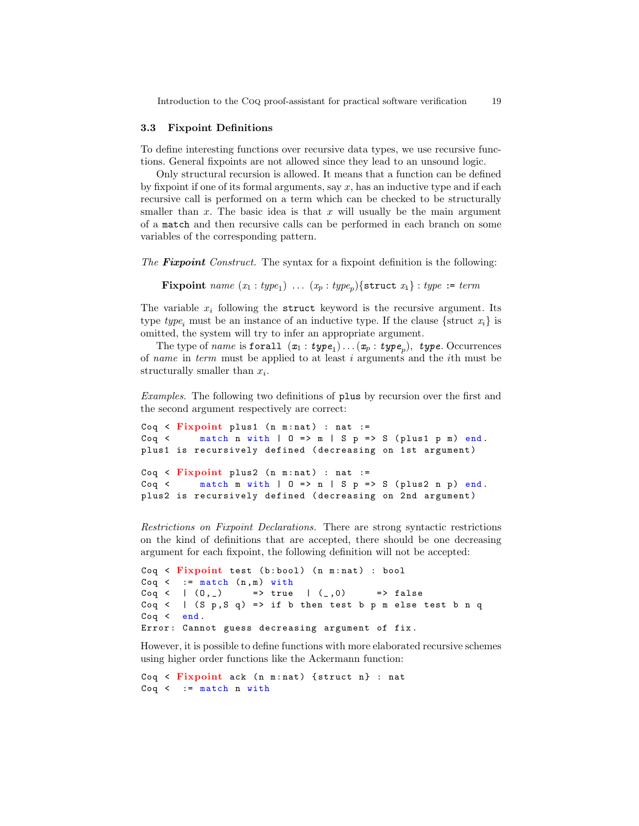Introduction to the Coq proof-assistant for practical software verification 19

#### 3.3 Fixpoint Definitions

To define interesting functions over recursive data types, we use recursive functions. General fixpoints are not allowed since they lead to an unsound logic.

Only structural recursion is allowed. It means that a function can be defined by fixpoint if one of its formal arguments, say  $x$ , has an inductive type and if each recursive call is performed on a term which can be checked to be structurally smaller than  $x$ . The basic idea is that  $x$  will usually be the main argument of a match and then recursive calls can be performed in each branch on some variables of the corresponding pattern.

The **Fixpoint** Construct. The syntax for a fixpoint definition is the following:

**Fixpoint** name  $(x_1 : type_1) \ldots (x_p : type_p) \{ \text{struct } x_i \} : type := term$ 

The variable  $x_i$  following the struct keyword is the recursive argument. Its type type<sub>i</sub> must be an instance of an inductive type. If the clause {struct  $x_i$ } is omitted, the system will try to infer an appropriate argument.

The type of  $\emph{name}$  is  $\emph{\texttt{forall}}~~(x_1: \emph{type}_1) \ldots (x_p: \emph{type}_p), ~\emph{type}.$  Occurrences of name in term must be applied to at least  $i$  arguments and the *i*th must be structurally smaller than  $x_i$ .

Examples. The following two definitions of plus by recursion over the first and the second argument respectively are correct:

```
Coq < Fixpoint plus1 (n m:nat) : nat :=
Coq < match n with | 0 \Rightarrow m | S p \Rightarrow S (plus1 p m) end.
plus1 is recursively defined (decreasing on 1st argument)
Coq \leq Fixpoint plus2 (n m:nat) : nat :=
Coq < match m with | 0 \implies n | S p \implies S (plus2 n p) end.
plus2 is recursively defined (decreasing on 2nd argument)
```
Restrictions on Fixpoint Declarations. There are strong syntactic restrictions on the kind of definitions that are accepted, there should be one decreasing argument for each fixpoint, the following definition will not be accepted:

```
Coq \leq Fixpoint test (b:bool) (n m:nat) : bool
Coq \leq ::match (n,m) withCog \leftarrow | (0, -) => true | (-, 0) => false
Coq < | (S p, S q) => if b then test b p m else test b n q
Coq < end.
Error: Cannot guess decreasing argument of fix.
```
However, it is possible to define functions with more elaborated recursive schemes using higher order functions like the Ackermann function:

```
Coq \langle Fixpoint ack (n m:nat) {struct n} : nat
Coq \leq :: = match \; n \; with
```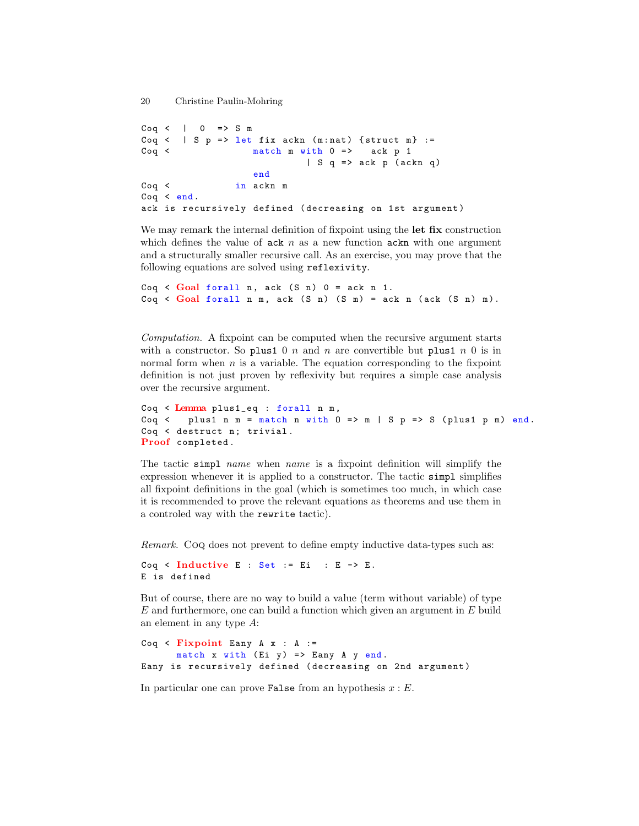```
Coq \leftarrow | 0 \implies S mCoq < | S p => let fix ackn (m:nat) {struct m} :=
Cog < match m with 0 \Rightarrow ack p 1
                            | S q \Rightarrow ack p (ackn q)end
Coq < in ackn m
Coq < end .
ack is recursively defined (decreasing on 1st argument)
```
We may remark the internal definition of fixpoint using the **let fix** construction which defines the value of  $ack n$  as a new function  $ack n$  with one argument and a structurally smaller recursive call. As an exercise, you may prove that the following equations are solved using reflexivity.

```
Coq < Goal forall n, ack (S \nI) 0 = ack n 1.
Coq \le Goal forall n m, ack (S \n n) (S \n m) = \text{ack} \n n (ack (S \n n) m).
```
Computation. A fixpoint can be computed when the recursive argument starts with a constructor. So plus1 0 n and n are convertible but plus1 n 0 is in normal form when  $n$  is a variable. The equation corresponding to the fixpoint definition is not just proven by reflexivity but requires a simple case analysis over the recursive argument.

```
Coq < Lemma plus1_eq : forall n m,
Coq < plus1 n m = match n with 0 \Rightarrow m | S p => S (plus1 p m) end.
Coq < destruct n; trivial.
Proof completed.
```
The tactic simpl name when name is a fixpoint definition will simplify the expression whenever it is applied to a constructor. The tactic simpl simplifies all fixpoint definitions in the goal (which is sometimes too much, in which case it is recommended to prove the relevant equations as theorems and use them in a controled way with the rewrite tactic).

Remark. Coq does not prevent to define empty inductive data-types such as:

```
Coq \le Inductive E : Set := Ei : E \rightarrow E.E is defined
```
But of course, there are no way to build a value (term without variable) of type E and furthermore, one can build a function which given an argument in E build an element in any type A:

```
Coq \leq Fixpoint Eany A x : A :=
      match x with (Ei \, y) => Eany A y end.
Eany is recursively defined (decreasing on 2nd argument)
```
In particular one can prove False from an hypothesis  $x : E$ .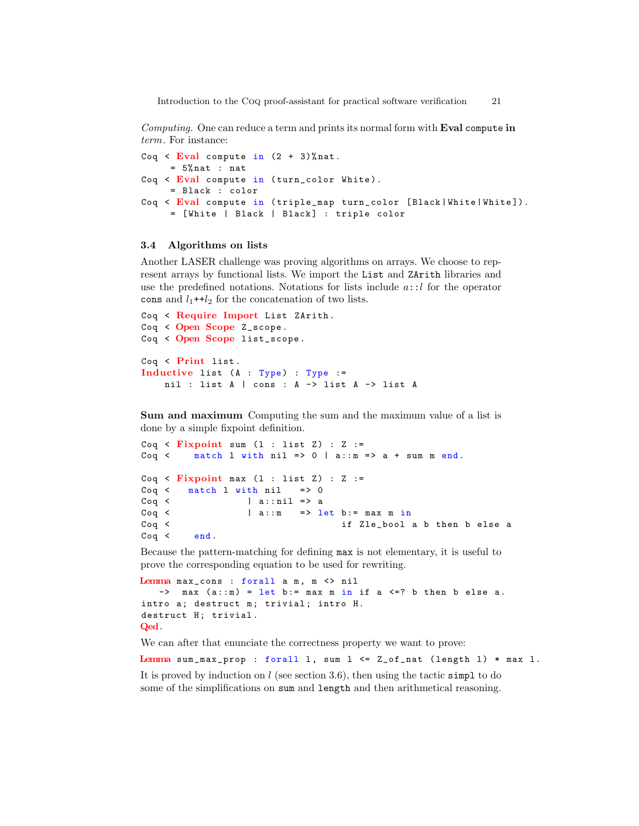Introduction to the Coq proof-assistant for practical software verification 21

Computing. One can reduce a term and prints its normal form with **Eval compute in** term. For instance:

```
Coq \le Eval compute in (2 + 3)% nat.
     = 5%nat : nat
Coq < Eval compute in (turn_color White).
     = Black : color
Coq < Eval compute in (triple_map turn_color [Black | White | White]).
     = [ White | Black | Black ] : triple color
```
## 3.4 Algorithms on lists

Another LASER challenge was proving algorithms on arrays. We choose to represent arrays by functional lists. We import the List and ZArith libraries and use the predefined notations. Notations for lists include  $a::l$  for the operator cons and  $l_1+1_2$  for the concatenation of two lists.

```
Coq < Require Import List ZArith.
Coq < Open Scope Z_scope .
Coq < Open Scope list_scope .
Coq < Print list .
Inductive list (A : Type) : Type :=
    nil : list A | cons : A -> list A -> list A
```
Sum and maximum Computing the sum and the maximum value of a list is done by a simple fixpoint definition.

```
Coq < Fixpoint sum (1 : list Z) : Z :=Coq < match 1 with nil => 0 | a:: m => a + sum m end.
Coq < Fixpoint max (1 : list Z) : Z :=Coq < match 1 with ni1 => 0
Coq < | a :: nil => a
Coq < | a :: m => let b := max m in
Coq < if Zle_bool a b then b else a
Coq < end.
```
Because the pattern-matching for defining max is not elementary, it is useful to prove the corresponding equation to be used for rewriting.

```
Lemma max_cons : forall a m, m <> nil
   \Rightarrow max (a::m) = let b := max m in if a <=? b then b else a.intro a; destruct m; trivial; intro H.
destruct H; trivial.
Qed.
```
We can after that enunciate the correctness property we want to prove:

Lemma sum\_max\_prop : forall 1, sum  $l \leq Z_{of\_nat}$  (length 1) \* max 1.

It is proved by induction on  $l$  (see section 3.6), then using the tactic simpl to do some of the simplifications on sum and length and then arithmetical reasoning.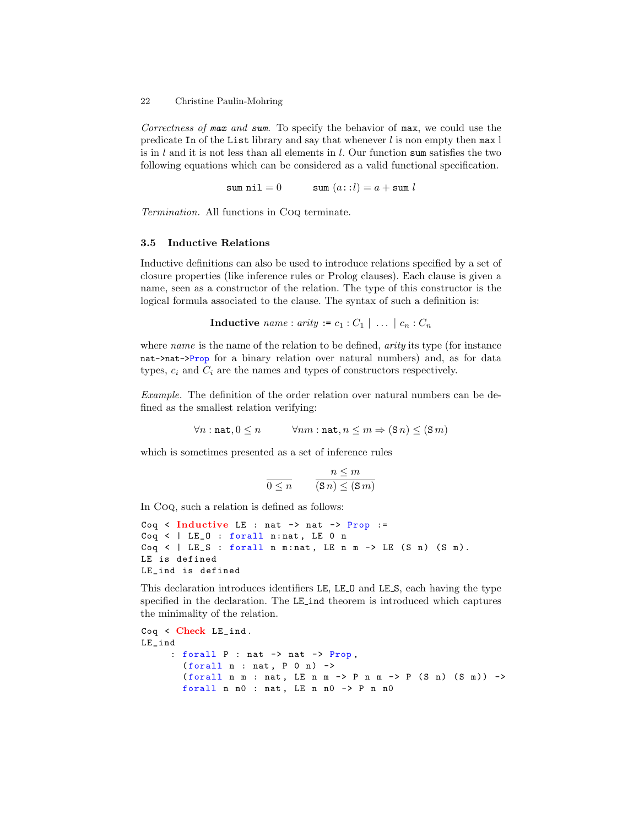Correctness of max and sum. To specify the behavior of max, we could use the predicate In of the List library and say that whenever  $l$  is non empty then max l is in  $l$  and it is not less than all elements in  $l$ . Our function sum satisfies the two following equations which can be considered as a valid functional specification.

sum nil = 0  $\text{sum}(a::l) = a + \text{sum} l$ 

Termination. All functions in Coq terminate.

#### 3.5 Inductive Relations

Inductive definitions can also be used to introduce relations specified by a set of closure properties (like inference rules or Prolog clauses). Each clause is given a name, seen as a constructor of the relation. The type of this constructor is the logical formula associated to the clause. The syntax of such a definition is:

```
Inductive name: arity := c_1 : C_1 | ... | c_n : C_n
```
where *name* is the name of the relation to be defined, *arity* its type (for instance nat->nat->Prop for a binary relation over natural numbers) and, as for data types,  $c_i$  and  $C_i$  are the names and types of constructors respectively.

Example. The definition of the order relation over natural numbers can be defined as the smallest relation verifying:

 $\forall n : \texttt{nat}, 0 \leq n$   $\forall nm : \texttt{nat}, n \leq m \Rightarrow (\texttt{S } n) \leq (\texttt{S } m)$ 

which is sometimes presented as a set of inference rules

$$
\frac{n \le m}{0 \le n} \qquad \frac{n \le m}{(\mathbf{S} n) \le (\mathbf{S} m)}
$$

In Coq, such a relation is defined as follows:

```
Coq < Inductive LE : nat \rightarrow nat \rightarrow Prop :=
Coq < | LE_0 : forall n:nat, LE_0 n
Coq < | LE_S : forall n m:nat, LE n m -> LE (S n) (S m).
LE is defined
LE_ind is defined
```
This declaration introduces identifiers LE, LE O and LE S, each having the type specified in the declaration. The LE ind theorem is introduced which captures the minimality of the relation.

```
Coq < Check LE_ind .
LE_ind
      : forall P : nat -> nat -> Prop ,
        (for all n : nat, P 0 n) ->
        (forall n \text{ m} : nat, LE n \text{ m} -> P n \text{ m} -> P (S \text{ m}) (S m)) ->
        forall n n0: nat, LE n n0 -> P n n0
```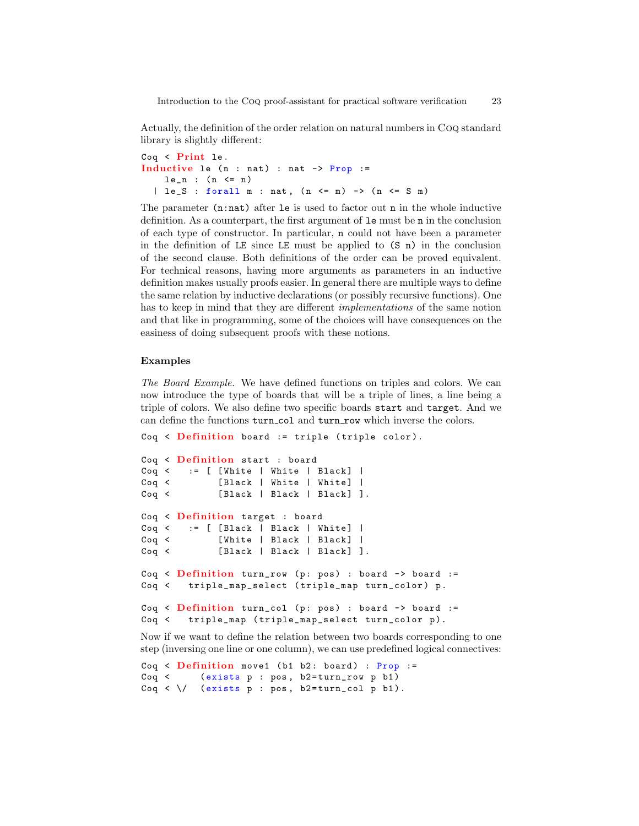Actually, the definition of the order relation on natural numbers in Coq standard library is slightly different:

```
Coq < Print le.
Inductive le (n : nat) : nat \rightarrow Prop :=
    le\_n : (n \le n)| le_S : forall m : nat, (n \le m) -> (n \le S \ m)
```
The parameter  $(n:\texttt{nat})$  after le is used to factor out n in the whole inductive definition. As a counterpart, the first argument of le must be n in the conclusion of each type of constructor. In particular, n could not have been a parameter in the definition of LE since LE must be applied to (S n) in the conclusion of the second clause. Both definitions of the order can be proved equivalent. For technical reasons, having more arguments as parameters in an inductive definition makes usually proofs easier. In general there are multiple ways to define the same relation by inductive declarations (or possibly recursive functions). One has to keep in mind that they are different *implementations* of the same notion and that like in programming, some of the choices will have consequences on the easiness of doing subsequent proofs with these notions.

#### Examples

The Board Example. We have defined functions on triples and colors. We can now introduce the type of boards that will be a triple of lines, a line being a triple of colors. We also define two specific boards start and target. And we can define the functions turn\_col and turn\_row which inverse the colors.

```
Coq < Definition board := triple (triple color).
```

```
Coq \leftarrow Definition start : board
Coq \leq := [ [White | White | Black] |
Coq < [Black | White | White] |
Coq < [Black | Black | Black] ].
Coq \leftarrow Definition target : board
Coq \leq := [ [Black | Black | White] |
Coq < [White | Black | Black] |
Coq < [Black | Black | Black] ].
Coq \leq Definition turn_row (p: pos) : board \Rightarrow board :=
Coq < triple_map_select (triple_map turn_color) p.
Coq \leq Definition turn_col (p: pos) : board -> board :=
Coq < triple_map (triple_map_select turn_color p).
```
Now if we want to define the relation between two boards corresponding to one step (inversing one line or one column), we can use predefined logical connectives:

```
Coq \leq Definition move1 (b1 b2: board) : Prop :=
Coq < (exists p : pos, b2=turn_row p b1)
Coq < \setminus (exists p : pos, b2=turn_col p b1).
```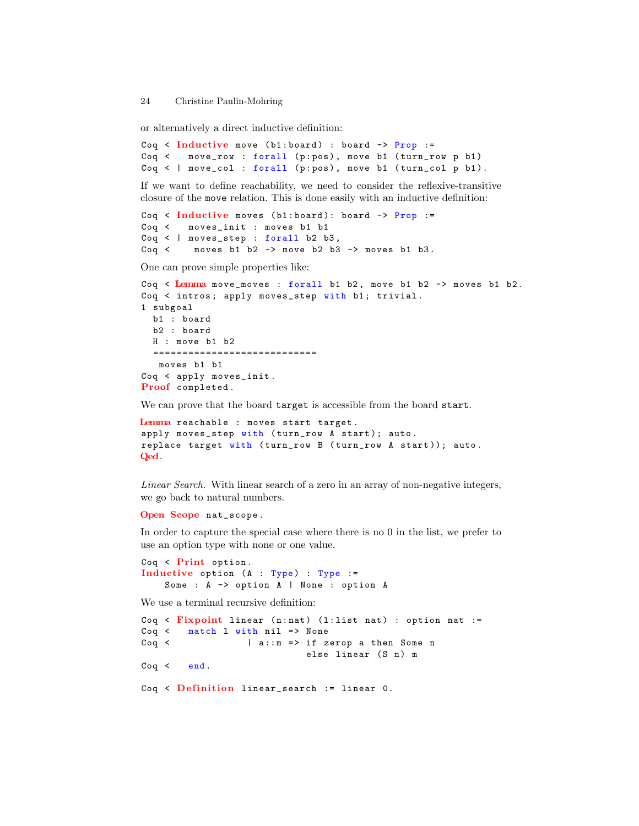or alternatively a direct inductive definition:

```
Coq \leq Inductive move (b1:board) : board \Rightarrow Prop :=
Coq < move_row : forall (p:pos), move b1 (turn_row p b1)
Coq < | move_col : forall (p:pos), move b1 (turn_col p b1).
```
If we want to define reachability, we need to consider the reflexive-transitive closure of the move relation. This is done easily with an inductive definition:

```
Coq < Inductive moves (b1:board): board \rightarrow Prop :=
Coq < moves_init : moves b1 b1
Coq < | moves_step : forall b2 b3,
Coq < moves b1 b2 \rightarrow move b2 b3 \rightarrow moves b1 b3.
```
One can prove simple properties like:

```
Coq < Lemma move_moves : forall b1 b2 , move b1 b2 -> moves b1 b2 .
Coq < intros; apply moves_step with b1; trivial.
1 subgoal
 b1 : board
 b2 : board
 H : move b1 b2
  ============================
  moves b1 b1
Coq < apply moves_init .
Proof completed.
```
We can prove that the board target is accessible from the board start.

```
Lemma reachable : moves start target .
apply moves_step with (turn_row A start); auto.
replace target with (turn_row B (turn_row A start)); auto.
Qed.
```
Linear Search. With linear search of a zero in an array of non-negative integers, we go back to natural numbers.

Open Scope nat\_scope .

In order to capture the special case where there is no 0 in the list, we prefer to use an option type with none or one value.

```
Coq < Print option.
Inductive option (A : Type) : Type :=
    Some : A -> option A | None : option A
```
We use a terminal recursive definition:

```
Coq < Fixpoint linear (n:nat) (l:list nat) : option nat :=
Coq < match 1 with nil => None<br>
Coq < | a::m => if z
                    | a:: m => if zerop a then Some n
                               else linear (S n) m
Coq < end.
Coq < Definition linear_search := linear 0.
```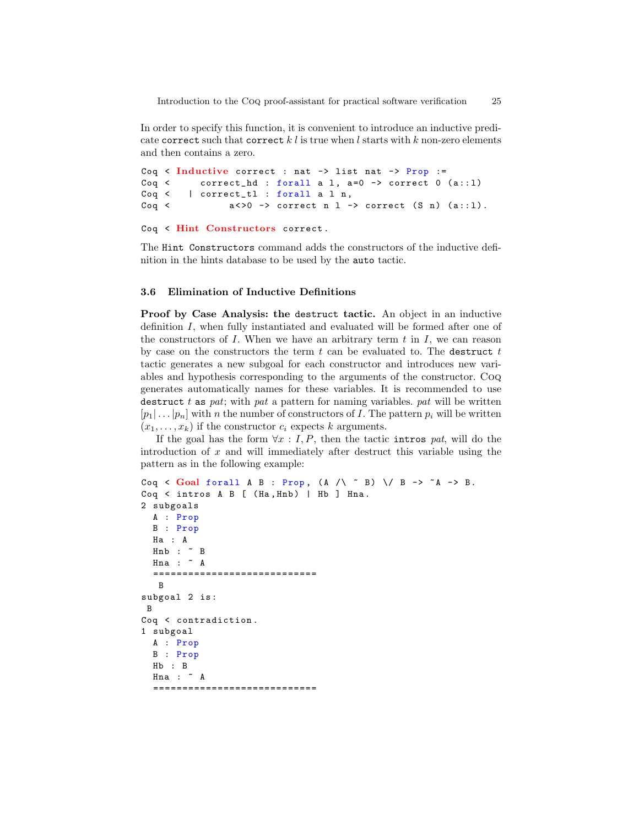In order to specify this function, it is convenient to introduce an inductive predicate correct such that correct  $k \, l$  is true when l starts with k non-zero elements and then contains a zero.

```
Coq < Inductive correct : nat -> list nat -> Prop :=
Coq < correct_hd : forall a 1, a=0 -> correct 0 (a::1)
Coq < | correct_tl : forall a l n,
Coq < a < > correct n 1 -> correct (S n) (a::1).
```
Coq < Hint Constructors correct .

The Hint Constructors command adds the constructors of the inductive definition in the hints database to be used by the auto tactic.

## 3.6 Elimination of Inductive Definitions

Proof by Case Analysis: the destruct tactic. An object in an inductive definition I, when fully instantiated and evaluated will be formed after one of the constructors of  $I$ . When we have an arbitrary term  $t$  in  $I$ , we can reason by case on the constructors the term  $t$  can be evaluated to. The destruct  $t$ tactic generates a new subgoal for each constructor and introduces new variables and hypothesis corresponding to the arguments of the constructor. Coq generates automatically names for these variables. It is recommended to use destruct  $t$  as pat; with pat a pattern for naming variables. pat will be written  $[p_1 | \dots | p_n]$  with n the number of constructors of I. The pattern  $p_i$  will be written  $(x_1, \ldots, x_k)$  if the constructor  $c_i$  expects k arguments.

If the goal has the form  $\forall x : I, P$ , then the tactic intros pat, will do the introduction of  $x$  and will immediately after destruct this variable using the pattern as in the following example:

```
Coq < Goal forall A B : Prop, (A / \neg B) \lor B -> \neg A -> B.
Coq < intros A B [ (Ha, Hnb) | Hb ] Hna.
2 subgoals
  A : Prop
  B : Prop
  Ha : A
  Hnb : ~ B
  Hna : ~ A
  ============================
   B
subgoal 2 is :
 B
Coq < contradiction .
1 subgoal
  A : Prop
  B : Prop
  Hb : B
  Hna : ~ A
  ============================
```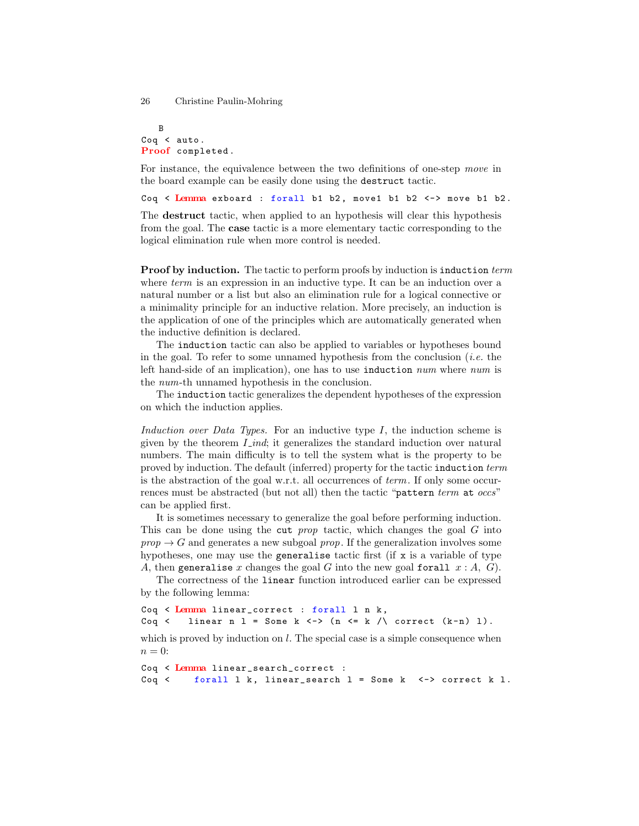B Coq < auto . Proof completed .

For instance, the equivalence between the two definitions of one-step move in the board example can be easily done using the destruct tactic.

Coq < Lemma exboard : forall b1 b2 , move1 b1 b2 <-> move b1 b2 .

The destruct tactic, when applied to an hypothesis will clear this hypothesis from the goal. The case tactic is a more elementary tactic corresponding to the logical elimination rule when more control is needed.

**Proof by induction.** The tactic to perform proofs by induction is induction term where *term* is an expression in an inductive type. It can be an induction over a natural number or a list but also an elimination rule for a logical connective or a minimality principle for an inductive relation. More precisely, an induction is the application of one of the principles which are automatically generated when the inductive definition is declared.

The induction tactic can also be applied to variables or hypotheses bound in the goal. To refer to some unnamed hypothesis from the conclusion  $(i.e.$  the left hand-side of an implication), one has to use induction num where num is the num-th unnamed hypothesis in the conclusion.

The induction tactic generalizes the dependent hypotheses of the expression on which the induction applies.

Induction over Data Types. For an inductive type  $I$ , the induction scheme is given by the theorem  $I$ -ind; it generalizes the standard induction over natural numbers. The main difficulty is to tell the system what is the property to be proved by induction. The default (inferred) property for the tactic induction term is the abstraction of the goal w.r.t. all occurrences of term. If only some occurrences must be abstracted (but not all) then the tactic "pattern term at occs" can be applied first.

It is sometimes necessary to generalize the goal before performing induction. This can be done using the cut  $prop$  tactic, which changes the goal  $G$  into  $prop \rightarrow G$  and generates a new subgoal prop. If the generalization involves some hypotheses, one may use the generalise tactic first (if x is a variable of type A, then generalise x changes the goal G into the new goal forall  $x : A, G$ .

The correctness of the linear function introduced earlier can be expressed by the following lemma:

```
Coq < Lemma linear_correct : forall 1 n k,
Coq < linear n 1 = Some k <-> (n <= k /\ correct (k-n) 1).
which is proved by induction on l. The special case is a simple consequence when
n=0:
```

```
Coq < Lemma linear_search_correct :
Coq \lt forall 1 k, linear_search 1 = Some k \lt-> correct k 1.
```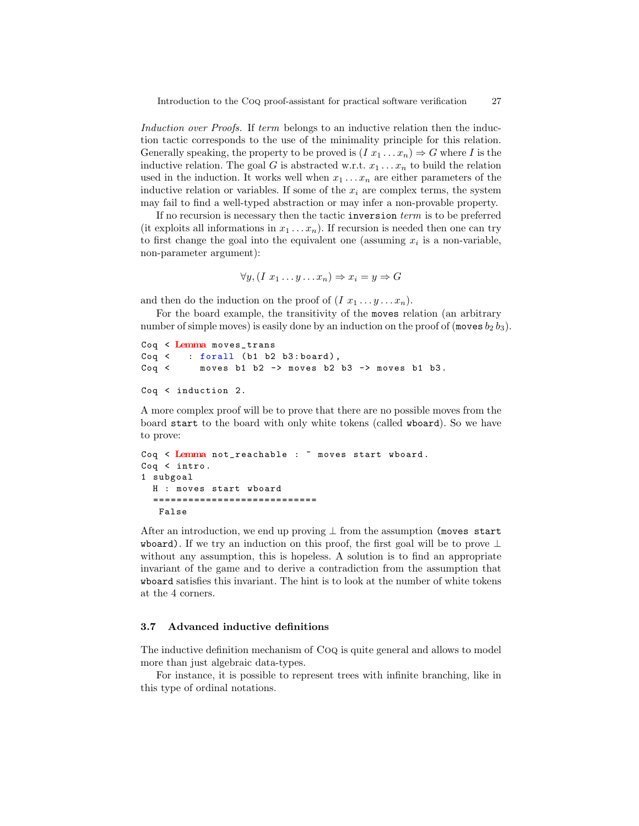Induction over Proofs. If term belongs to an inductive relation then the induction tactic corresponds to the use of the minimality principle for this relation. Generally speaking, the property to be proved is  $(I x_1 ... x_n) \Rightarrow G$  where I is the inductive relation. The goal G is abstracted w.r.t.  $x_1 \ldots x_n$  to build the relation used in the induction. It works well when  $x_1 \ldots x_n$  are either parameters of the inductive relation or variables. If some of the  $x_i$  are complex terms, the system may fail to find a well-typed abstraction or may infer a non-provable property.

If no recursion is necessary then the tactic inversion term is to be preferred (it exploits all informations in  $x_1 \ldots x_n$ ). If recursion is needed then one can try to first change the goal into the equivalent one (assuming  $x_i$  is a non-variable, non-parameter argument):

$$
\forall y, (I \ x_1 \dots y \dots x_n) \Rightarrow x_i = y \Rightarrow G
$$

and then do the induction on the proof of  $(I x_1 \ldots y \ldots x_n)$ .

For the board example, the transitivity of the moves relation (an arbitrary number of simple moves) is easily done by an induction on the proof of (moves  $b_2$   $b_3$ ).

```
Coq < Lemma moves_trans
Coq \leftarrow : forall \text{ (b1 b2 b3:board)},Coq < moves b1 b2 -> moves b2 b3 -> moves b1 b3.
Coq < induction 2.
```
A more complex proof will be to prove that there are no possible moves from the board start to the board with only white tokens (called wboard). So we have to prove:

```
Coq < Lemma not_reachable : " moves start wboard.
Coq < intro .
1 subgoal
  H : moves start wboard
  ============================
   False
```
After an introduction, we end up proving  $\perp$  from the assumption (moves start wboard). If we try an induction on this proof, the first goal will be to prove  $\perp$ without any assumption, this is hopeless. A solution is to find an appropriate invariant of the game and to derive a contradiction from the assumption that wboard satisfies this invariant. The hint is to look at the number of white tokens at the 4 corners.

#### 3.7 Advanced inductive definitions

The inductive definition mechanism of Coq is quite general and allows to model more than just algebraic data-types.

For instance, it is possible to represent trees with infinite branching, like in this type of ordinal notations.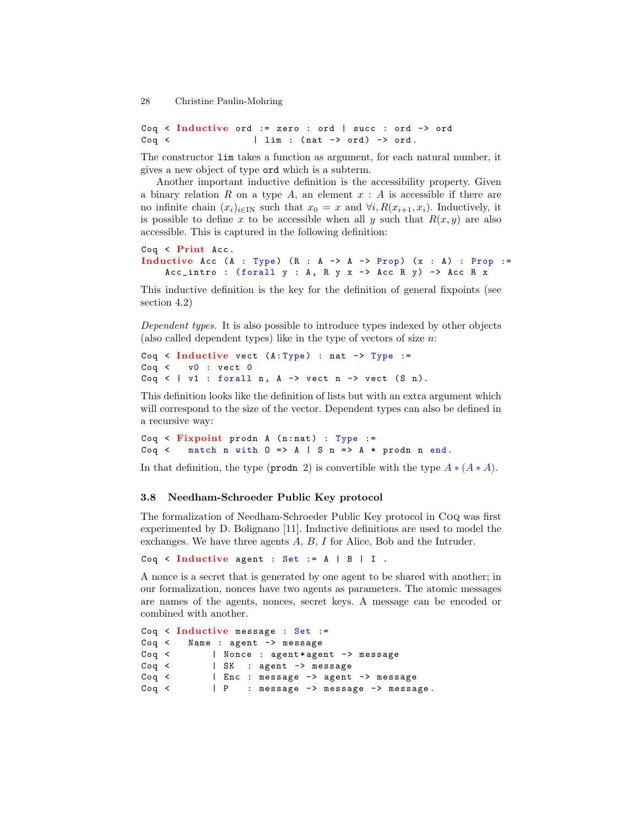```
Coq < Inductive ord := zero : ord | succ : ord -> ord
Coq \leq | lim : (nat -> ord) -> ord.
```
The constructor lim takes a function as argument, for each natural number, it gives a new object of type ord which is a subterm.

Another important inductive definition is the accessibility property. Given a binary relation R on a type A, an element  $x : A$  is accessible if there are no infinite chain  $(x_i)_{i\in\text{IN}}$  such that  $x_0 = x$  and  $\forall i, R(x_{i+1}, x_i)$ . Inductively, it is possible to define x to be accessible when all y such that  $R(x, y)$  are also accessible. This is captured in the following definition:

```
Coq < Print Acc .
Inductive Acc (A : Type) (R : A \rightarrow A \rightarrow Prop) (x : A) : Prop :=
    Acc\_intro : forall y : A, R y x -> Acc R y) -> Acc R x
```
This inductive definition is the key for the definition of general fixpoints (see section 4.2)

Dependent types. It is also possible to introduce types indexed by other objects (also called dependent types) like in the type of vectors of size  $n$ :

```
Coq < Inductive vect (A:Type) : nat -> Type :=
Coq < v0 : vect 0
Coq \langle | v1 : forall n, A -> vect n -> vect (S n).
```
This definition looks like the definition of lists but with an extra argument which will correspond to the size of the vector. Dependent types can also be defined in a recursive way:

Coq < Fixpoint prodn A  $(n : nat)$  : Type := Coq < match n with  $0 \Rightarrow A \mid S$  n => A \* prodn n end.

In that definition, the type (prodn 2) is convertible with the type  $A * (A * A)$ .

#### 3.8 Needham-Schroeder Public Key protocol

The formalization of Needham-Schroeder Public Key protocol in Coq was first experimented by D. Bolignano [11]. Inductive definitions are used to model the exchanges. We have three agents A, B, I for Alice, Bob and the Intruder.

```
Coq \leq Inductive agent : Set := A | B | I.
```
A nonce is a secret that is generated by one agent to be shared with another; in our formalization, nonces have two agents as parameters. The atomic messages are names of the agents, nonces, secret keys. A message can be encoded or combined with another.

```
Coq < Inductive message : Set :=
Coq < Name : agent -> message
Coq < | Nonce : agent * agent -> message
Coq < | SK : agent -> message
Coq < | Enc : message -> agent -> message
Coq < | P : message -> message -> message.
```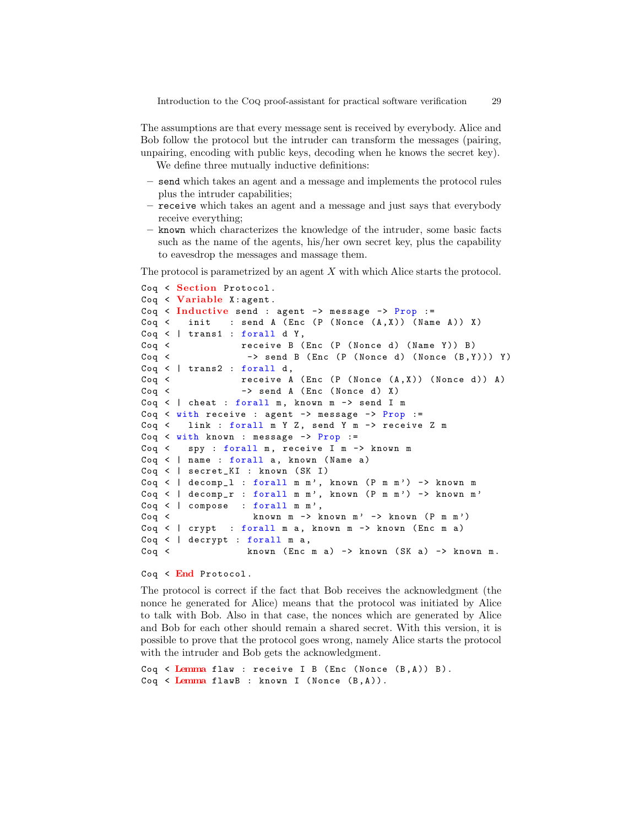The assumptions are that every message sent is received by everybody. Alice and Bob follow the protocol but the intruder can transform the messages (pairing, unpairing, encoding with public keys, decoding when he knows the secret key).

We define three mutually inductive definitions:

- send which takes an agent and a message and implements the protocol rules plus the intruder capabilities;
- receive which takes an agent and a message and just says that everybody receive everything;
- known which characterizes the knowledge of the intruder, some basic facts such as the name of the agents, his/her own secret key, plus the capability to eavesdrop the messages and massage them.

The protocol is parametrized by an agent X with which Alice starts the protocol.

```
Coq < Section Protocol .
Coq \leftarrow \textbf{Variable} \ X: agent.Coq < Inductive send : agent \rightarrow message \rightarrow Prop :=
Coq < init : send A (Enc (P (Nonce (A, X)) (Name A)) X)
Coq < | trans1 : forall d Y,
Coq < receive B ( Enc ( P ( Nonce d ) ( Name Y )) B )
Coq < \rightarrow send B (Enc (P (Nonce d) (Nonce (B, Y))) Y)
Coq \leq | trans2 : forall d,
Coq < Teceive A (Enc (P (Nonce (A, X)) (Nonce d)) A)
Coq \leq \longrightarrow send A (Enc (Nonce d) X)
Coq \lt | cheat : forall m, known m \gt send I m
Coq < with receive : agent -> message -> Prop :=
Coq < link : forall m Y Z, send Y m -> receive Z m
Coq < with known : message -> Prop :=
Coq < spy : forall m, receive I m \rightarrow known mCoq < | name : forall a, known (Name a)
Coq < | secret_KI : known (SK I)
Coq < | decomp_1 : forall m m', known (P m m') -> known m
Coq < | decomp_r : forall m m', known (P m m') -> known m'
Coq \lt | compose : forall m m',
Coq < known m -> known m' -> known (P m m')
Coq \langle | crypt : forall m a, known m \rightarrow known (Enc m a)
Coq < | decrypt : forall m a,
Coq < known (Enc m a) -> known (SK a) -> known m.
```
Coq < End Protocol.

The protocol is correct if the fact that Bob receives the acknowledgment (the nonce he generated for Alice) means that the protocol was initiated by Alice to talk with Bob. Also in that case, the nonces which are generated by Alice and Bob for each other should remain a shared secret. With this version, it is possible to prove that the protocol goes wrong, namely Alice starts the protocol with the intruder and Bob gets the acknowledgment.

```
Coq \leq Lemma flaw : receive I B (Enc (Nonce (B, A)) B).
Coq \leq Lemma flawB : known I (Nonce (B, A)).
```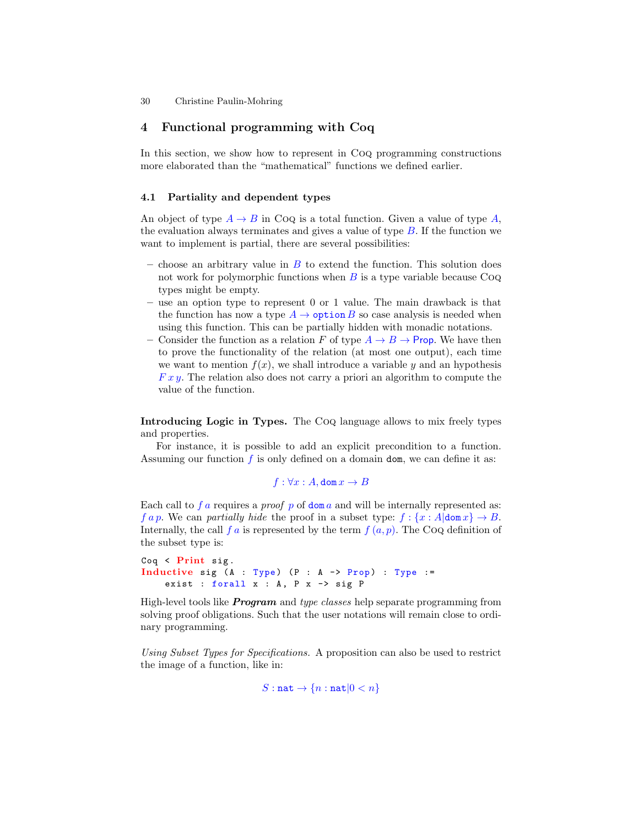## 4 Functional programming with Coq

In this section, we show how to represent in Coq programming constructions more elaborated than the "mathematical" functions we defined earlier.

#### 4.1 Partiality and dependent types

An object of type  $A \rightarrow B$  in Coq is a total function. Given a value of type A, the evaluation always terminates and gives a value of type  $B$ . If the function we want to implement is partial, there are several possibilities:

- choose an arbitrary value in  $B$  to extend the function. This solution does not work for polymorphic functions when  $B$  is a type variable because  $Coq$ types might be empty.
- use an option type to represent  $0$  or  $1$  value. The main drawback is that the function has now a type  $A \to \text{option } B$  so case analysis is needed when using this function. This can be partially hidden with monadic notations.
- Consider the function as a relation F of type  $A \rightarrow B \rightarrow$  Prop. We have then to prove the functionality of the relation (at most one output), each time we want to mention  $f(x)$ , we shall introduce a variable y and an hypothesis  $Fx y$ . The relation also does not carry a priori an algorithm to compute the value of the function.

Introducing Logic in Types. The Coq language allows to mix freely types and properties.

For instance, it is possible to add an explicit precondition to a function. Assuming our function  $f$  is only defined on a domain dom, we can define it as:

 $f : \forall x : A, \text{dom } x \to B$ 

Each call to f a requires a *proof*  $p$  of  $\text{dom } a$  and will be internally represented as:  $f \circ p$ . We can partially hide the proof in a subset type:  $f : \{x : A | \text{dom } x\} \to B$ . Internally, the call f a is represented by the term  $f(a, p)$ . The Coq definition of the subset type is:

```
Coq < Print sig.
Inductive sig (A : Type) (P : A \rightarrow Prop): Type :=
    exist : forall x : A, P x \rightarrow sig P
```
High-level tools like **Program** and type classes help separate programming from solving proof obligations. Such that the user notations will remain close to ordinary programming.

Using Subset Types for Specifications. A proposition can also be used to restrict the image of a function, like in:

$$
S: \texttt{nat} \to \{n: \texttt{nat}|0 < n\}
$$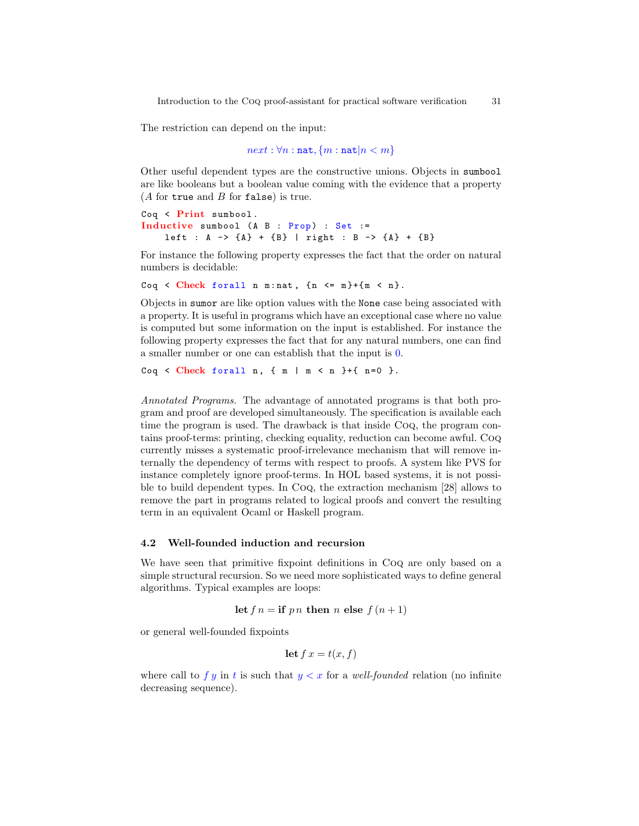Introduction to the Coq proof-assistant for practical software verification 31

The restriction can depend on the input:

 $next : \forall n : \texttt{nat}, \{m : \texttt{nat}|n < m\}$ 

Other useful dependent types are the constructive unions. Objects in sumbool are like booleans but a boolean value coming with the evidence that a property (A for true and B for false) is true.

```
Coq < Print sumbool.
Inductive sumbool (A \ B : Prop) : Set :=left : A \rightarrow {A} + {B} | right : B -> {A} + {B}
```
For instance the following property expresses the fact that the order on natural numbers is decidable:

Coq < Check forall n m:nat,  $\{n \le m\} + \{m \le n\}$ .

Objects in sumor are like option values with the None case being associated with a property. It is useful in programs which have an exceptional case where no value is computed but some information on the input is established. For instance the following property expresses the fact that for any natural numbers, one can find a smaller number or one can establish that the input is 0.

Coq < Check forall  $n$ ,  $\{ m \mid m \le n \}$ + $\{ n = 0 \}$ .

Annotated Programs. The advantage of annotated programs is that both program and proof are developed simultaneously. The specification is available each time the program is used. The drawback is that inside Coq, the program contains proof-terms: printing, checking equality, reduction can become awful. Coq currently misses a systematic proof-irrelevance mechanism that will remove internally the dependency of terms with respect to proofs. A system like PVS for instance completely ignore proof-terms. In HOL based systems, it is not possible to build dependent types. In Coq, the extraction mechanism [28] allows to remove the part in programs related to logical proofs and convert the resulting term in an equivalent Ocaml or Haskell program.

## 4.2 Well-founded induction and recursion

We have seen that primitive fixpoint definitions in Coq are only based on a simple structural recursion. So we need more sophisticated ways to define general algorithms. Typical examples are loops:

let  $f n =$  if  $p n$  then  $n$  else  $f (n + 1)$ 

or general well-founded fixpoints

$$
\det f x = t(x, f)
$$

where call to  $f y$  in t is such that  $y < x$  for a well-founded relation (no infinite decreasing sequence).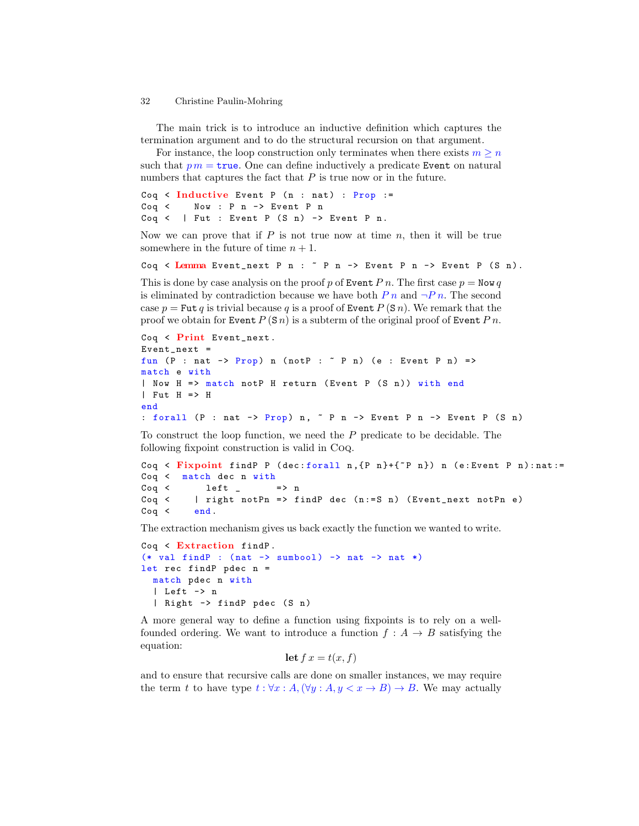The main trick is to introduce an inductive definition which captures the termination argument and to do the structural recursion on that argument.

For instance, the loop construction only terminates when there exists  $m \geq n$ such that  $pm = \text{true}$ . One can define inductively a predicate Event on natural numbers that captures the fact that  $P$  is true now or in the future.

```
Coq < Inductive Event P (n : nat) : Prop :=
Coq \leq Now : P n \rightarrow Event P nCoq \leftarrow | Fut : Event P (S \nvert) \rightarrow Event P n.
```
Now we can prove that if  $P$  is not true now at time  $n$ , then it will be true somewhere in the future of time  $n + 1$ .

```
Coq \leq Lemma Event_next P n : \degree P n -> Event P n -> Event P (S n).
```
This is done by case analysis on the proof p of Event P n. The first case  $p = Now q$ is eliminated by contradiction because we have both  $P n$  and  $\neg P n$ . The second case  $p =$  Fut q is trivial because q is a proof of Event  $P(S n)$ . We remark that the proof we obtain for Event  $P(S n)$  is a subterm of the original proof of Event  $P n$ .

```
Coq < Print Event_next .
Event\_next =
fun (P : nat \rightarrow Prop) n (notP : \tilde{P} n) (e : Event P n) =>
match e with
| Now H => match notP H return (Event P (S n)) with end
| Fut H => H
end
: forall (P : nat \rightarrow Prop) n, "P n -> Event P n -> Event P (S n)
```
To construct the loop function, we need the P predicate to be decidable. The following fixpoint construction is valid in Coq.

```
Coq \leq Fixpoint findP P (dec:forall n, {P n}+{\tilde{}P n}) n (e:Event P n):nat :=
Coq < match dec n with
Coq < left _ => n
Coq \leftarrow | right notPn => findP dec (n := S n) (Event_next notPn e)
Coq < end.
```
The extraction mechanism gives us back exactly the function we wanted to write.

```
Coq < Extraction findP .
(* val findP : (nat \rightarrow sumbool) -> nat -> nat *)
let rec findP pdec n =
  match pdec n with
  | Left -> n
  | Right -> findP pdec (S n)
```
A more general way to define a function using fixpoints is to rely on a wellfounded ordering. We want to introduce a function  $f : A \rightarrow B$  satisfying the equation:

$$
\mathbf{let}\,f\,x = t(x,f)
$$

and to ensure that recursive calls are done on smaller instances, we may require the term t to have type  $t : \forall x : A, (\forall y : A, y \leq x \rightarrow B) \rightarrow B$ . We may actually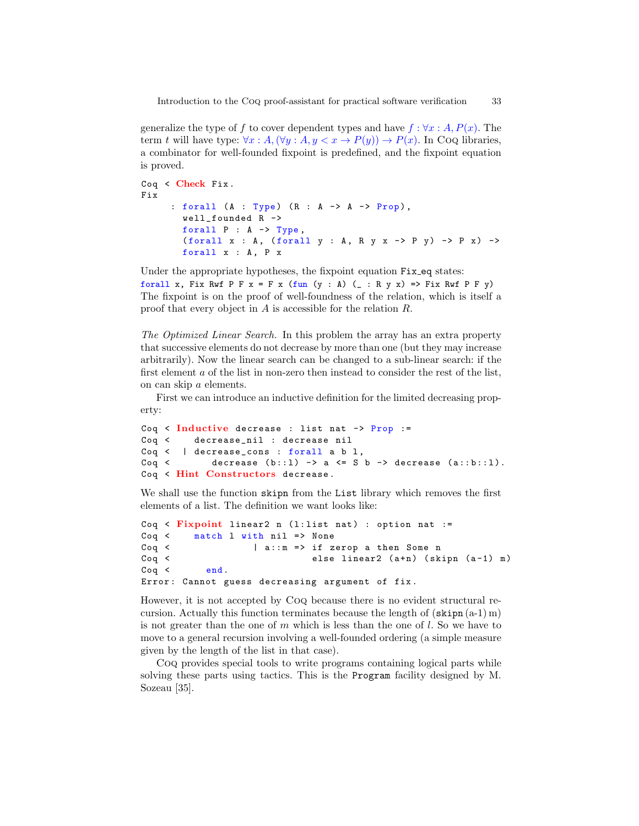generalize the type of f to cover dependent types and have  $f : \forall x : A, P(x)$ . The term t will have type:  $\forall x : A, (\forall y : A, y \leq x \rightarrow P(y)) \rightarrow P(x)$ . In Coq libraries, a combinator for well-founded fixpoint is predefined, and the fixpoint equation is proved.

```
Coq < Check Fix .
Fix
      : forall (A : Type) (R : A \rightarrow A \rightarrow Prop),
         well_founded R ->
         forall P : A -> Type ,
         (forall x : A, (forall y : A, R y x \rightarrow P y) \rightarrow P x) \rightarrowforall x : A, P x
```
Under the appropriate hypotheses, the fixpoint equation Fix eq states: forall x, Fix Rwf P F  $x = F x$  (fun (y : A) (\_ : R y x) => Fix Rwf P F y) The fixpoint is on the proof of well-foundness of the relation, which is itself a proof that every object in A is accessible for the relation R.

The Optimized Linear Search. In this problem the array has an extra property that successive elements do not decrease by more than one (but they may increase arbitrarily). Now the linear search can be changed to a sub-linear search: if the first element a of the list in non-zero then instead to consider the rest of the list, on can skip a elements.

First we can introduce an inductive definition for the limited decreasing property:

```
Coq < Inductive decrease : list nat -> Prop :=
Coq < decrease_nil : decrease nil
Coq < | decrease_cons : forall a b l,
Coq < decrease (b::1) \rightarrow a \leq S b -> decrease (a::b::1).
Coq < Hint Constructors decrease .
```
We shall use the function skipn from the List library which removes the first elements of a list. The definition we want looks like:

```
Coq \leq Fixpoint linear2 n (1:list nat) : option nat :=
Coq < match 1 with nil => None
Coq < | a :: m = > if zerop a then Some n
Coq < \leq else linear2 (a+n) (skipn (a-1) m)
Coq < end.
Error: Cannot guess decreasing argument of fix.
```
However, it is not accepted by Coq because there is no evident structural recursion. Actually this function terminates because the length of  $(\text{skipn}(a-1)$  m) is not greater than the one of  $m$  which is less than the one of  $l$ . So we have to move to a general recursion involving a well-founded ordering (a simple measure given by the length of the list in that case).

Coq provides special tools to write programs containing logical parts while solving these parts using tactics. This is the Program facility designed by M. Sozeau [35].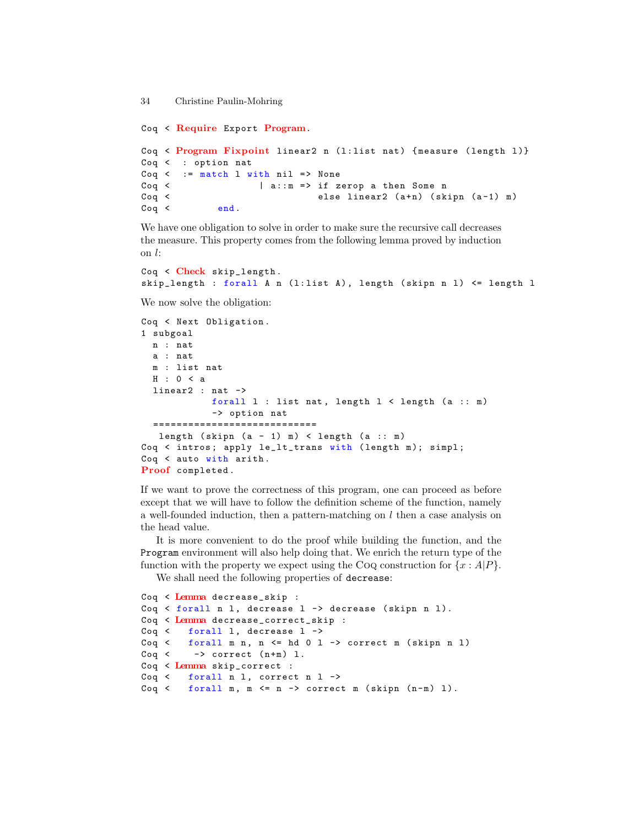```
34 Christine Paulin-Mohring
```

```
Coq < Require Export Program.
Coq < Program Fixpoint linear2 n (1:list nat) {measure (length 1)}
Coq < : option nat
Coq \leq := match 1 with nil => None
Coq < | a :: m = > if zerop a then Some n
Coq < else linear2 (a+n) (skipn (a-1) m)
Coq < end.
```
We have one obligation to solve in order to make sure the recursive call decreases the measure. This property comes from the following lemma proved by induction on l:

```
Coq < Check skip_length .
skip_length : forall A n (1:list A), length (skipn n 1) \leq length 1
```
We now solve the obligation:

```
Coq < Next Obligation .
1 subgoal
 n : nat
 a : nat
 m : list nat
 H : 0 < a
  linear2 : nat ->
            forall l : list nat, length l < length (a :: m)-> option nat
  ============================
   length (skip n (a - 1) m) < length (a :: m)
Coq < intros; apply le_lt_trans with (length m); simpl;
Coq < auto with arith .
Proof completed .
```
If we want to prove the correctness of this program, one can proceed as before except that we will have to follow the definition scheme of the function, namely a well-founded induction, then a pattern-matching on  $l$  then a case analysis on the head value.

It is more convenient to do the proof while building the function, and the Program environment will also help doing that. We enrich the return type of the function with the property we expect using the CoQ construction for  $\{x : A|P\}$ .

We shall need the following properties of decrease:

```
Coq < Lemma decrease_skip :
Coq < forall n 1, decrease 1 -> decrease (skipn n 1).
Coq < Lemma decrease_correct_skip :
Coq \leftarrow forall 1, decrease 1 ->
Coq \leq forall m n, n \leq hd 0 1 -> correct m (skipn n 1)
Coq \leftarrow \rightarrow correct (n+m) 1.Coq < Lemma skip_correct :
Coq < forall n 1, correct n 1 ->
Coq \leftarrow forall m, m \leftarrow n \rightarrow correct m (skipn (n-m) l).
```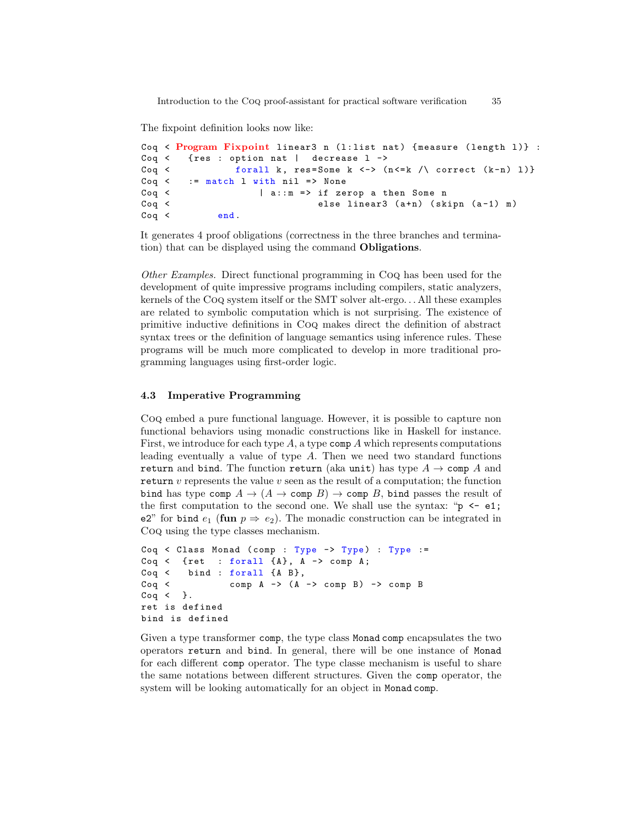Introduction to the Coq proof-assistant for practical software verification 35

The fixpoint definition looks now like:

```
Coq \leq Program Fixpoint linear3 n (1:list nat) {measure (length 1)} :
Coq < { res : option nat | decrease l ->
Coq < forall k, res=Some k <-> (n \le k / \sqrt{c} \cdot n) (k-n) 1)}
Coq \leq := match 1 with nil => None
Coq < | a :: m = > if zerop a then Some n
Coq < else linear3 (a+n) (skipn (a-1) m)
Coq < end.
```
It generates 4 proof obligations (correctness in the three branches and termination) that can be displayed using the command Obligations.

Other Examples. Direct functional programming in Coq has been used for the development of quite impressive programs including compilers, static analyzers, kernels of the Coq system itself or the SMT solver alt-ergo. . . All these examples are related to symbolic computation which is not surprising. The existence of primitive inductive definitions in Coq makes direct the definition of abstract syntax trees or the definition of language semantics using inference rules. These programs will be much more complicated to develop in more traditional programming languages using first-order logic.

## 4.3 Imperative Programming

Coq embed a pure functional language. However, it is possible to capture non functional behaviors using monadic constructions like in Haskell for instance. First, we introduce for each type  $A$ , a type comp  $A$  which represents computations leading eventually a value of type A. Then we need two standard functions return and bind. The function return (aka unit) has type  $A \rightarrow$  comp A and return  $v$  represents the value  $v$  seen as the result of a computation; the function bind has type comp  $A \to (A \to \text{comp } B) \to \text{comp } B$ , bind passes the result of the first computation to the second one. We shall use the syntax: " $p \le -e1$ ; e2" for bind  $e_1$  (fun  $p \Rightarrow e_2$ ). The monadic construction can be integrated in Coq using the type classes mechanism.

```
Coq < Class Monad ( comp : Type -> Type ) : Type :=
Coq \leftarrow \{ret : for all \{A\}, A \rightarrow comp A;Coq < bind : forall {A \ B},
Coq \leq comp A \rightarrow (A \rightarrow comp B) \rightarrow comp BCoq \leftarrow \}.
ret is defined
bind is defined
```
Given a type transformer comp, the type class Monad comp encapsulates the two operators return and bind. In general, there will be one instance of Monad for each different comp operator. The type classe mechanism is useful to share the same notations between different structures. Given the comp operator, the system will be looking automatically for an object in Monad comp.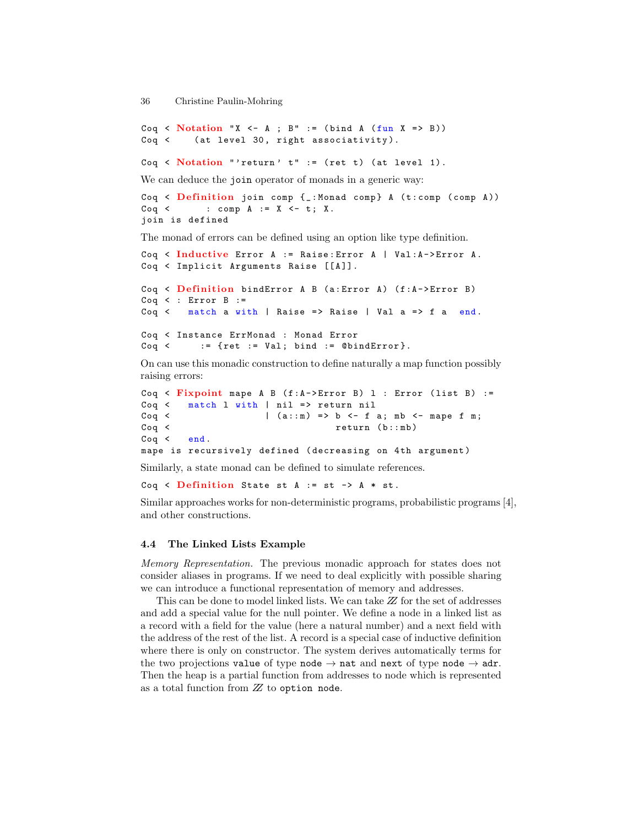```
Coq < Notation "X <- A ; B" := (bind A (fun X => B))
Coq < (at level 30, right associativity).
Coq < Notation "'return' t" := (ret t) (at level 1).
We can deduce the join operator of monads in a generic way:
Coq < Definition join comp { _: Monad comp} A (t: comp ( comp A))
Coq < : comp A := X <- t; X.
join is defined
The monad of errors can be defined using an option like type definition.
Coq < Inductive Error A := Raise: Error A | Val: A-> Error A.
Coq < Implicit Arguments Raise [[A]].
Coq < Definition bindError A B (a: Error A) (f : A \rightarrow Error B)
Coq \leq : Error B :=Coq \leq match a with | Raise => Raise | Val a => f a end.
Coq < Instance ErrMonad : Monad Error
Coq \leq := {ret := Val; bind := @bindError}.
On can use this monadic construction to define naturally a map function possibly
raising errors:
```

```
Coq < Fixpoint mape A B (f:A->Error B) 1 : Error (list B) :=
Coq < match 1 with | nil => return nil
Coq < | (a::m) => b <- f a; mb <- mape f m;
Coq \leq return (b::mb)Coq < end.
mape is recursively defined (decreasing on 4th argument)
```
Similarly, a state monad can be defined to simulate references.

```
Coq < Definition State st A := st \rightarrow A * st.
```
Similar approaches works for non-deterministic programs, probabilistic programs [4], and other constructions.

### 4.4 The Linked Lists Example

Memory Representation. The previous monadic approach for states does not consider aliases in programs. If we need to deal explicitly with possible sharing we can introduce a functional representation of memory and addresses.

This can be done to model linked lists. We can take  $Z$  for the set of addresses and add a special value for the null pointer. We define a node in a linked list as a record with a field for the value (here a natural number) and a next field with the address of the rest of the list. A record is a special case of inductive definition where there is only on constructor. The system derives automatically terms for the two projections value of type node  $\rightarrow$  nat and next of type node  $\rightarrow$  adr. Then the heap is a partial function from addresses to node which is represented as a total function from  $Z$  to option node.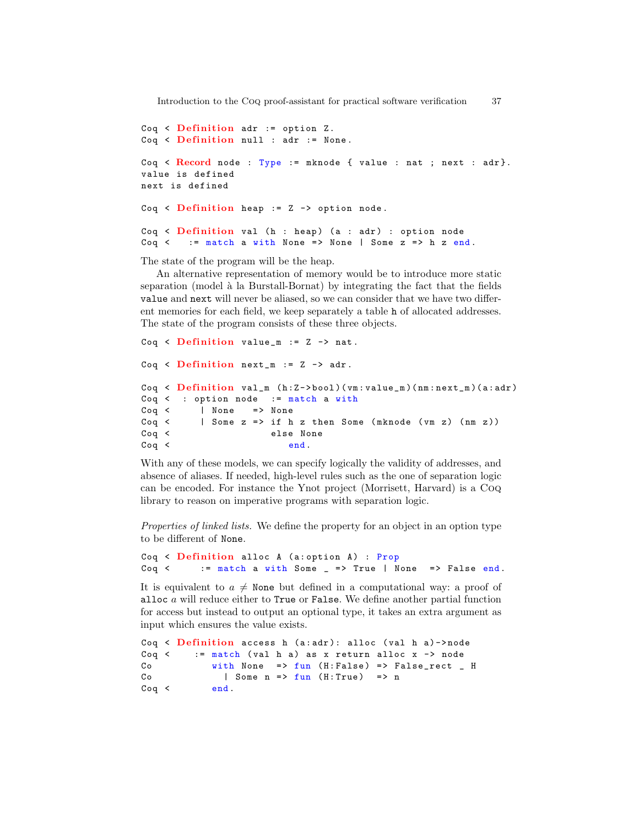Introduction to the Coq proof-assistant for practical software verification 37

```
Coq \leq Definition adr := option Z.
Coq \leq Definition null : adr := None.
Coq < Record node : Type := mknode { value : nat ; next : adr }.
value is defined
next is defined
Coq < Definition heap := Z \rightarrow option node.
Coq < Definition val (h : heap) (a : adr) : option node
Coq < := match a with None => None | Some z => h z end.
```
The state of the program will be the heap.

An alternative representation of memory would be to introduce more static separation (model à la Burstall-Bornat) by integrating the fact that the fields value and next will never be aliased, so we can consider that we have two different memories for each field, we keep separately a table h of allocated addresses. The state of the program consists of these three objects.

```
Coq < Definition value_m := Z \rightarrow nat.
Coq < Definition next_m := Z \rightarrow adr.
Coq < Definition val_m (h:Z->bool) (vm: value_m) (nm: next_m) (a: adr)
Coq \le: option node := match a with
Coq < | None => None
Coq < | Some z => if h z then Some (mknode (vm z) (nm z))
Coq < else None
Coq < end.
```
With any of these models, we can specify logically the validity of addresses, and absence of aliases. If needed, high-level rules such as the one of separation logic can be encoded. For instance the Ynot project (Morrisett, Harvard) is a Coq library to reason on imperative programs with separation logic.

Properties of linked lists. We define the property for an object in an option type to be different of None.

```
Coq \leq Definition alloc A (a: option A) : Prop
Coq < \cdot := match a with Some _ => True | None => False end.
```
It is equivalent to  $a \neq \mathbb{N}$  one but defined in a computational way: a proof of alloc a will reduce either to True or False. We define another partial function for access but instead to output an optional type, it takes an extra argument as input which ensures the value exists.

```
Coq < Definition access h (a:adr): alloc (val h a)->node
Coq < := match (val h a) as x return alloc x \rightarrow node
Co with None => fun (H:False) => False_rect _ H
Co | Some n => fun (H:True) => n
Coq < end.
```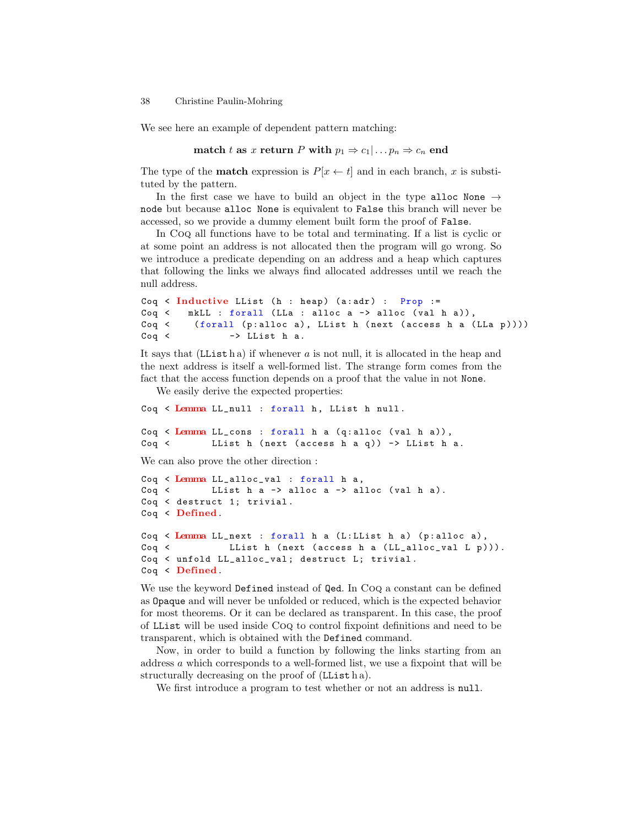We see here an example of dependent pattern matching:

match t as x return P with  $p_1 \Rightarrow c_1 | \dots p_n \Rightarrow c_n$  end

The type of the **match** expression is  $P[x \leftarrow t]$  and in each branch, x is substituted by the pattern.

In the first case we have to build an object in the type alloc None  $\rightarrow$ node but because alloc None is equivalent to False this branch will never be accessed, so we provide a dummy element built form the proof of False.

In Coq all functions have to be total and terminating. If a list is cyclic or at some point an address is not allocated then the program will go wrong. So we introduce a predicate depending on an address and a heap which captures that following the links we always find allocated addresses until we reach the null address.

```
Coq < Inductive LList (h : heap) (a:adr) : Prop :=
Coq < mkLL : forall (LLa : alloc a \rightarrow alloc (val h a)),
Coq \leftarrow (for all (p: alloc a), LList h (next (access h a (LLa p))))Coq < \rightarrow LList h a.
```
It says that  $(LList h a)$  if whenever a is not null, it is allocated in the heap and the next address is itself a well-formed list. The strange form comes from the fact that the access function depends on a proof that the value in not None.

We easily derive the expected properties:

Coq < Lemma LL\_null : forall h, LList h null.

 $Cog \leq$  Lemma LL\_cons : forall h a (q:alloc (val h a)), Coq < LList h (next (access h a q))  $\rightarrow$  LList h a.

We can also prove the other direction :

```
Coq < Lemma LL_alloc_val : forall h a,
Coq < LList h a \rightarrow alloc a \rightarrow alloc (val h a).
Coq < destruct 1; trivial .
Coq < Defined.
```

```
Coq \leq Lemma LL_next : forall h a (L:LList h a) (p:alloc a),
Coq < LList h (next (access h a (LL_alloc_val L p))).
Coq < unfold LL_alloc_val; destruct L; trivial.
Coq < Defined.
```
We use the keyword Defined instead of Qed. In CoQ a constant can be defined as Opaque and will never be unfolded or reduced, which is the expected behavior for most theorems. Or it can be declared as transparent. In this case, the proof of LList will be used inside Coq to control fixpoint definitions and need to be transparent, which is obtained with the Defined command.

Now, in order to build a function by following the links starting from an address a which corresponds to a well-formed list, we use a fixpoint that will be structurally decreasing on the proof of (LList h a).

We first introduce a program to test whether or not an address is null.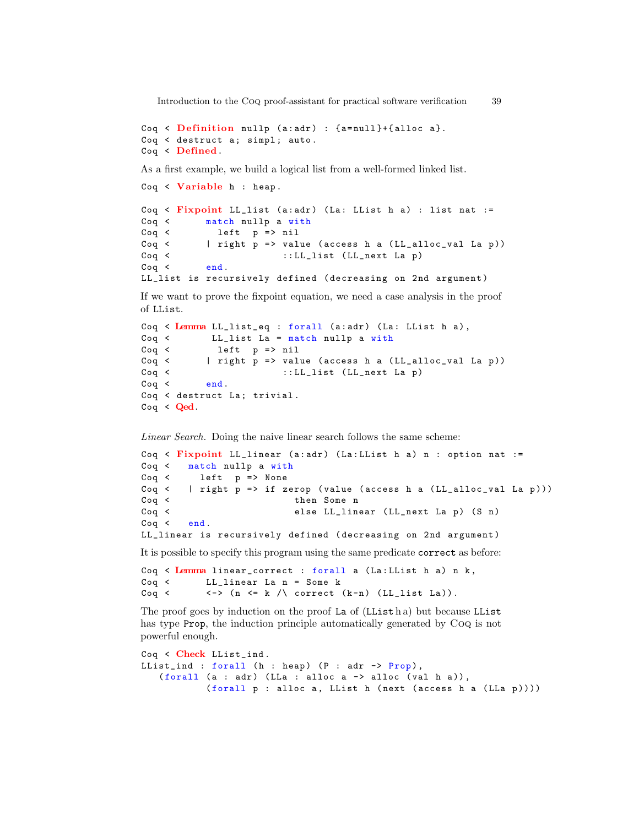Introduction to the Coq proof-assistant for practical software verification 39

```
Coq \leq Definition nullp (a:adr) : {a=null}+{alloc a}.
Coq < destruct a; simpl; auto.
Coq < Defined.
```
As a first example, we build a logical list from a well-formed linked list.

```
Coq < Variable h : heap.
Coq < Fixpoint LL_list (a:adr) (La: LList h a) : list nat :=
Coq < match nullp a with
Coq < left p => nil
Coq < | right p => value (access h a (LL_alloc_val La p))
Coq < :: LL_list (LL_next La p)
Coq < end.
LL_list is recursively defined (decreasing on 2nd argument)
```
If we want to prove the fixpoint equation, we need a case analysis in the proof of LList.

```
Coq < Lemma LL_list_eq : forall (a:adr) (La: LList h a),
Coq < LL_list La = match nullp a with
Coq \leq left p \Rightarrow nilCoq < | right p => value (access h a (LL_a1loc_val La p))
Coq < :: LL_list (LL_next La p)
Coq < end.
Coq < destruct La; trivial.
Coq < Qed.
```
Linear Search. Doing the naive linear search follows the same scheme:

```
Coq < Fixpoint LL_linear (a:adr) (La:LList h a) n : option nat :=
Coq < match nullp a with
Coq < left p => None
Coq \langle | right p => if zerop (value (access h a (LL_alloc_val La p)))
Coq < then Some n
Coq < else LL_linear (LL_next La p) (S n)
Coq < end.
LL_linear is recursively defined (decreasing on 2nd argument)
```
It is possible to specify this program using the same predicate correct as before:

```
Coq \langle Lemma linear_correct : forall a (La:LList h a) n k,
Coq < LL_linear La n = Some k
Coq < \langle \rangle <-> (n <= k /\ correct (k-n) (LL_list La)).
```
The proof goes by induction on the proof La of (LList ha) but because LList has type Prop, the induction principle automatically generated by Coq is not powerful enough.

```
Coq < Check LList_ind .
LList_ind : forall (h : heap) (P : adr -> Prop),
   (forall (a : adr) (LLa : alloc a \rightarrow alloc (val h a)),
           (forall p : alloc a, LList h (next (access h a (LLa p))))
```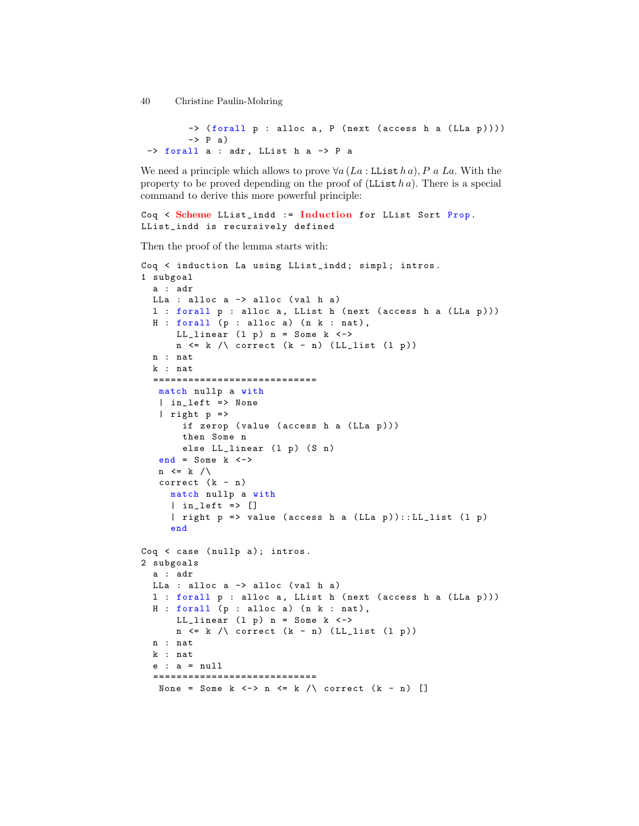```
-> (forall p : alloc a, P (next (access h a (LLa p))))
       \rightarrow P a)
-> forall a : adr , LList h a -> P a
```
We need a principle which allows to prove  $\forall a (La: \text{List } ha), P \ a \ La.$  With the property to be proved depending on the proof of  $(LList h a)$ . There is a special command to derive this more powerful principle:

```
Coq < Scheme LList_indd := Induction for LList Sort Prop .
LList_indd is recursively defined
```
Then the proof of the lemma starts with:

```
Coq < induction La using LList_indd; simpl; intros.
1 subgoal
  a : adr
 LLa : alloc a \rightarrow alloc (val h a)
  1 : forall p : alloc a, LList h (next (access h a (LLa p)))
  H : forall (p : alloc a) (n k : nat),
      LL_linear (1 p) n = Some k <->
      n \leq k / correct (k - n) (LL_list (1 p))
  n : nat
  k : nat
  ============================
   match nullp a with
   | in_left = > None
   | right p \Rightarrowif zerop (value (access h a (LLa p)))
       then Some n
       else LL_linear (1 p) (S n)end = Some k <->
   n \leq k / \lambdacorrect (k - n)match nullp a with
     | in_left = > []
     | right p \Rightarrow value (access h a (LLa p)):: LL_list (1 p)
     end
Coq < case (nullp a); intros.
2 subgoals
  a : adr
  LLa : alloc a \rightarrow alloc (val h a)
  1 : forall p : alloc a, LList h (next (access h a (LLa p)))
  H : forall (p : alloc a) (n k : nat),
      LL\_linear (1 p) n = Some k <->
      n \leq k /\ correct (k - n) (LL_list (1 p))
  n : nat
  k : nat
  e : a = null
  ============================
   None = Some k \leq -\geq n \leq k / correct (k - n) []
```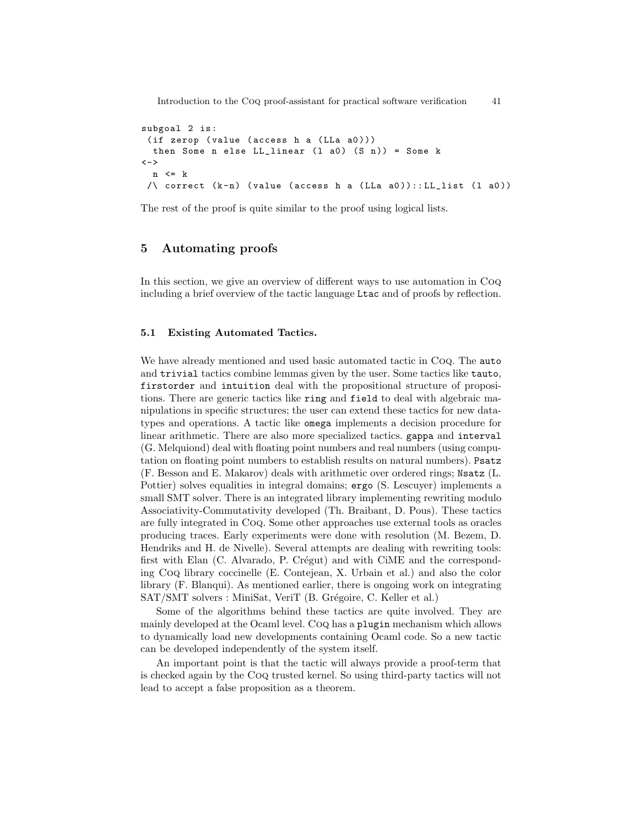Introduction to the Coq proof-assistant for practical software verification 41

```
subgoal 2 is :
 (if zerop (value (access h a (LLa a0)))
  then Some n else LL linear (1 a0) (S \n n)) = Some k
\langle - \ranglen <= k
 \sqrt{\arctan\left(k-n\right)} (value (access h a (LLa a0)):: LL_list (1 a0))
```
The rest of the proof is quite similar to the proof using logical lists.

## 5 Automating proofs

In this section, we give an overview of different ways to use automation in Coq including a brief overview of the tactic language Ltac and of proofs by reflection.

#### 5.1 Existing Automated Tactics.

We have already mentioned and used basic automated tactic in Coq. The auto and trivial tactics combine lemmas given by the user. Some tactics like tauto, firstorder and intuition deal with the propositional structure of propositions. There are generic tactics like ring and field to deal with algebraic manipulations in specific structures; the user can extend these tactics for new datatypes and operations. A tactic like omega implements a decision procedure for linear arithmetic. There are also more specialized tactics. gappa and interval (G. Melquiond) deal with floating point numbers and real numbers (using computation on floating point numbers to establish results on natural numbers). Psatz (F. Besson and E. Makarov) deals with arithmetic over ordered rings; Nsatz (L. Pottier) solves equalities in integral domains; ergo (S. Lescuyer) implements a small SMT solver. There is an integrated library implementing rewriting modulo Associativity-Commutativity developed (Th. Braibant, D. Pous). These tactics are fully integrated in Coq. Some other approaches use external tools as oracles producing traces. Early experiments were done with resolution (M. Bezem, D. Hendriks and H. de Nivelle). Several attempts are dealing with rewriting tools: first with Elan (C. Alvarado, P. Crégut) and with CiME and the corresponding Coq library coccinelle (E. Contejean, X. Urbain et al.) and also the color library (F. Blanqui). As mentioned earlier, there is ongoing work on integrating SAT/SMT solvers : MiniSat, VeriT (B. Grégoire, C. Keller et al.)

Some of the algorithms behind these tactics are quite involved. They are mainly developed at the Ocaml level. Coq has a plugin mechanism which allows to dynamically load new developments containing Ocaml code. So a new tactic can be developed independently of the system itself.

An important point is that the tactic will always provide a proof-term that is checked again by the Coq trusted kernel. So using third-party tactics will not lead to accept a false proposition as a theorem.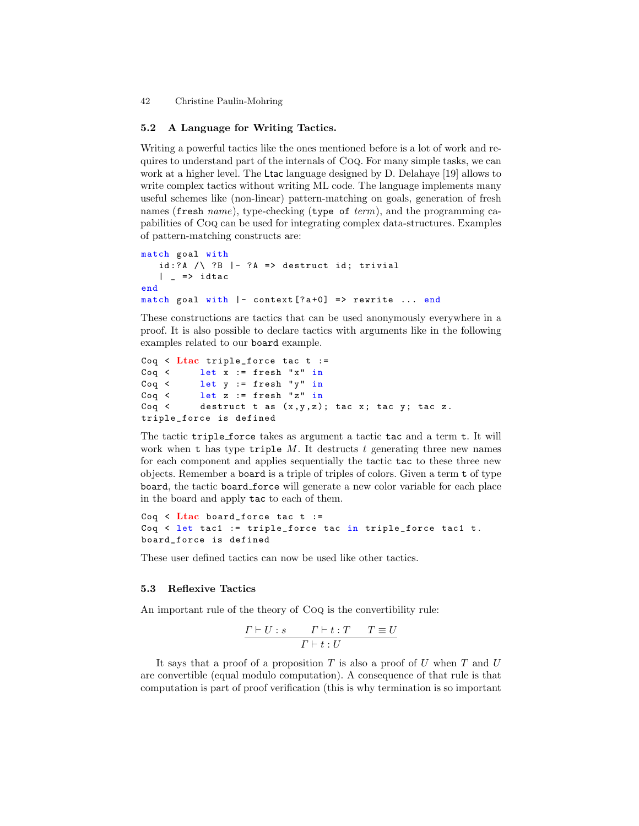#### 5.2 A Language for Writing Tactics.

Writing a powerful tactics like the ones mentioned before is a lot of work and requires to understand part of the internals of Coq. For many simple tasks, we can work at a higher level. The Ltac language designed by D. Delahaye [19] allows to write complex tactics without writing ML code. The language implements many useful schemes like (non-linear) pattern-matching on goals, generation of fresh names (fresh name), type-checking (type of term), and the programming capabilities of Coq can be used for integrating complex data-structures. Examples of pattern-matching constructs are:

```
match goal with
   id : ?A / \n\vee ?B | - ?A = > destruct id; trivial| = > idtac
end
match goal with | - context [ ?a + 0 ] => rewrite ... end
```
These constructions are tactics that can be used anonymously everywhere in a proof. It is also possible to declare tactics with arguments like in the following examples related to our board example.

```
Coq < Ltac triple_force tac t :=
Coq < let x := fresh "x" in
Coq < let y := fresh "y" in
Coq < let z := fresh "z" in
Coq < destruct t as (x, y, z); tac x; tac y; tac z.
triple_force is defined
```
The tactic triple force takes as argument a tactic tac and a term t. It will work when  $t$  has type  $t$ riple M. It destructs t generating three new names for each component and applies sequentially the tactic tac to these three new objects. Remember a board is a triple of triples of colors. Given a term t of type board, the tactic board force will generate a new color variable for each place in the board and apply tac to each of them.

```
Coq \leq Ltac board_force tac t :=
Coq \leq let tac1 := triple_force tac in triple_force tac1 t.
board_force is defined
```
These user defined tactics can now be used like other tactics.

#### 5.3 Reflexive Tactics

An important rule of the theory of Coq is the convertibility rule:

$$
\frac{\Gamma \vdash U : s \qquad \Gamma \vdash t : T \qquad T \equiv U}{\Gamma \vdash t : U}
$$

It says that a proof of a proposition  $T$  is also a proof of U when  $T$  and U are convertible (equal modulo computation). A consequence of that rule is that computation is part of proof verification (this is why termination is so important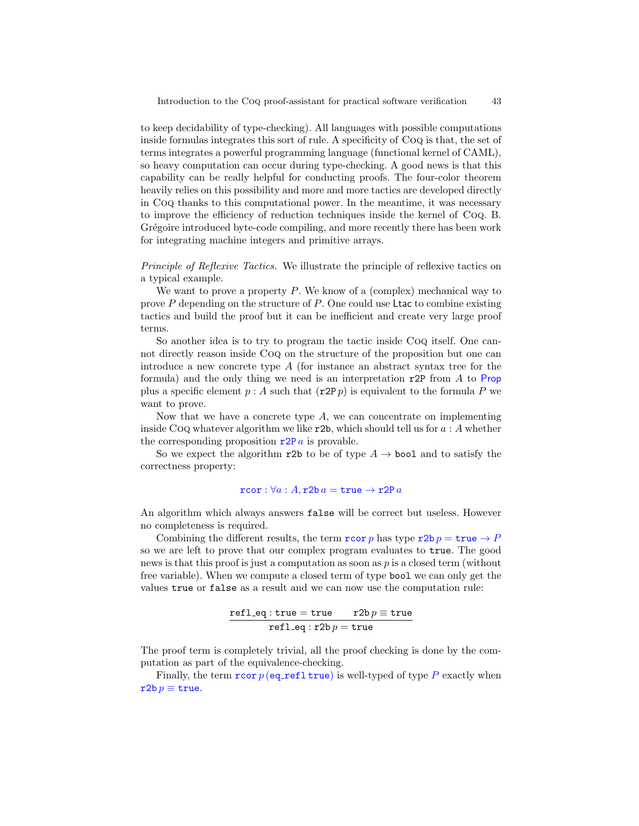to keep decidability of type-checking). All languages with possible computations inside formulas integrates this sort of rule. A specificity of Coq is that, the set of terms integrates a powerful programming language (functional kernel of CAML), so heavy computation can occur during type-checking. A good news is that this capability can be really helpful for conducting proofs. The four-color theorem heavily relies on this possibility and more and more tactics are developed directly in Coq thanks to this computational power. In the meantime, it was necessary to improve the efficiency of reduction techniques inside the kernel of Coq. B. Grégoire introduced byte-code compiling, and more recently there has been work for integrating machine integers and primitive arrays.

Principle of Reflexive Tactics. We illustrate the principle of reflexive tactics on a typical example.

We want to prove a property  $P$ . We know of a (complex) mechanical way to prove  $P$  depending on the structure of  $P$ . One could use Ltac to combine existing tactics and build the proof but it can be inefficient and create very large proof terms.

So another idea is to try to program the tactic inside Coq itself. One cannot directly reason inside Coq on the structure of the proposition but one can introduce a new concrete type  $A$  (for instance an abstract syntax tree for the formula) and the only thing we need is an interpretation  $r2P$  from A to Prop plus a specific element  $p : A$  such that  $(\text{r2P } p)$  is equivalent to the formula P we want to prove.

Now that we have a concrete type  $A$ , we can concentrate on implementing inside Coq whatever algorithm we like  $r2b$ , which should tell us for  $a : A$  whether the corresponding proposition  $r2P a$  is provable.

So we expect the algorithm r2b to be of type  $A \rightarrow$  bool and to satisfy the correctness property:

## $rcor : \forall a : A, r2b \, a = \text{true} \rightarrow r2P \, a$

An algorithm which always answers false will be correct but useless. However no completeness is required.

Combining the different results, the term  $\operatorname{rcor} p$  has type  $\operatorname{r2b} p = \operatorname{true} \to P$ so we are left to prove that our complex program evaluates to true. The good news is that this proof is just a computation as soon as  $p$  is a closed term (without free variable). When we compute a closed term of type bool we can only get the values true or false as a result and we can now use the computation rule:

$$
\texttt{refl_eq: true = true} \quad \texttt{r2b} \, p \equiv \texttt{true} \\ \texttt{refl_eq: r2b} \, p = \texttt{true}
$$

The proof term is completely trivial, all the proof checking is done by the computation as part of the equivalence-checking.

Finally, the term  $\operatorname{rcor} p$  (eq\_refl true) is well-typed of type P exactly when  $r2b p \equiv \text{true}.$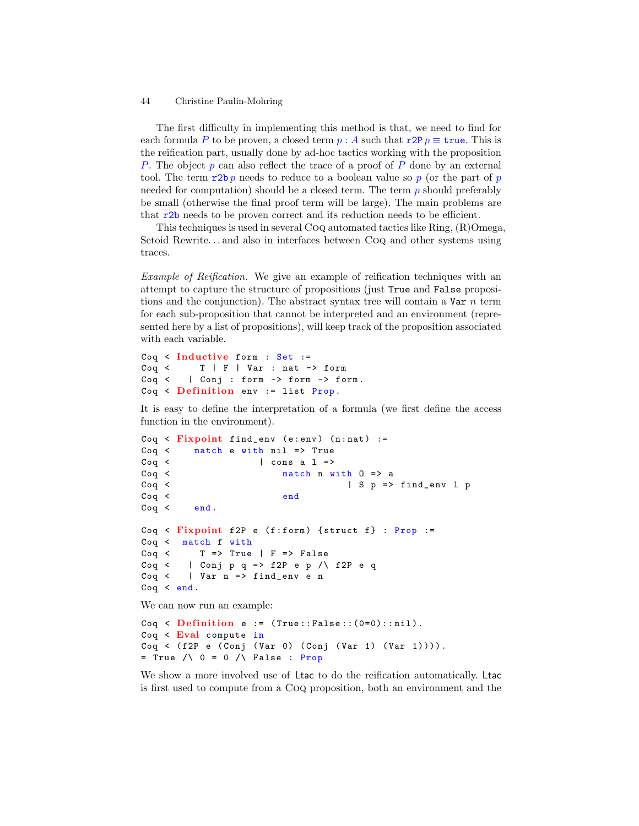The first difficulty in implementing this method is that, we need to find for each formula P to be proven, a closed term  $p : A$  such that  $\text{r2P } p \equiv \text{true}$ . This is the reification part, usually done by ad-hoc tactics working with the proposition P. The object  $p$  can also reflect the trace of a proof of  $P$  done by an external tool. The term  $\frac{r}{2b}p$  needs to reduce to a boolean value so p (or the part of p needed for computation) should be a closed term. The term  $p$  should preferably be small (otherwise the final proof term will be large). The main problems are that r2b needs to be proven correct and its reduction needs to be efficient.

This techniques is used in several Coq automated tactics like Ring, (R)Omega, Setoid Rewrite...and also in interfaces between CoQ and other systems using traces.

Example of Reification. We give an example of reification techniques with an attempt to capture the structure of propositions (just True and False propositions and the conjunction). The abstract syntax tree will contain a  $Var n$  term for each sub-proposition that cannot be interpreted and an environment (represented here by a list of propositions), will keep track of the proposition associated with each variable.

```
Coq < Inductive form : Set :=
Coq \leq T \mid F \mid Var : nat \rightarrow formCoq < | Conj : form -> form -> form.
Coq < Definition env := list Prop.
```
It is easy to define the interpretation of a formula (we first define the access function in the environment).

```
Coq \leq Fixpoint find_env (e:env) (n:nat) :=
Coq \lt match e with nil => True
Coq \leftarrow | \text{cons } a \text{ } l \RightarrowCoq < match n with 0 => a
Coq < | S p => find_env 1 p
Coq < end
Coq < end.
Coq \leq Fixpoint f2P e (f:form) {struct f} : Prop :=
Coq < match f with
Coq \lt T => True | F => False
Coq < | Conj p q => f2P e p \wedge f2P e q
Coq \leftarrow | Var n => find_env e n
Coq < end .
```
We can now run an example:

```
Coq \le Definition e := (True:: False::(0=0):: nil).
Coq < Eval compute in
Coq < (f2P e (Conj (Var 0) (Conj (Var 1) (Var 1)))).
= True \land 0 = 0 \land False : Prop
```
We show a more involved use of Ltac to do the reification automatically. Ltac is first used to compute from a Coq proposition, both an environment and the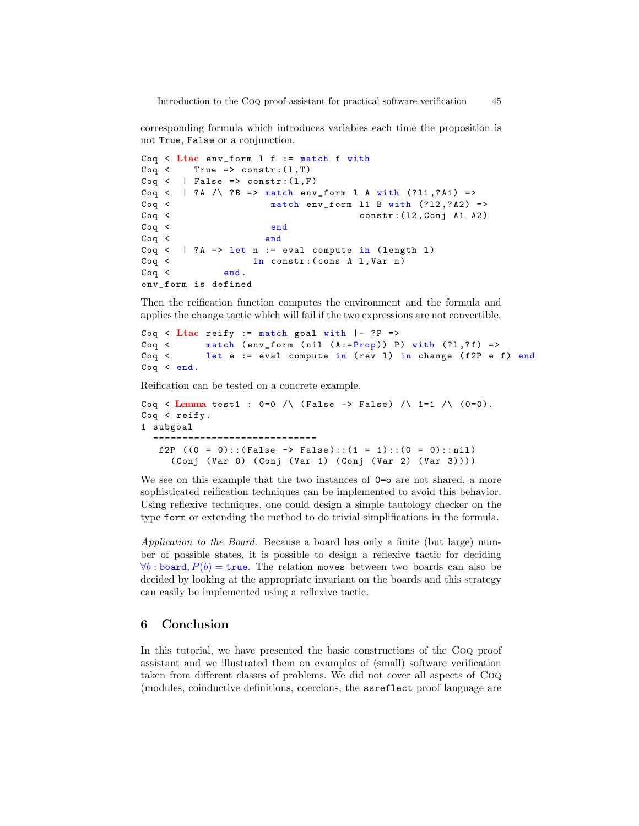corresponding formula which introduces variables each time the proposition is not True, False or a conjunction.

```
Coq < Ltac env_form l f := match f with
Cog \leftarrow True \Rightarrow constr:(1,T)Coq < | False => constr: (1, F)Coq < | ?A /\ ?B => match env_form 1 A with (?11, ?A1) =>
Coq < match env_form 11 B with (712, ?A2) =>
Coq < constr: (12, Conj A1 A2)
Coq < end
Coq < end
Coq \langle | ?A => let n := eval compute in (length 1)
Coq < in constr: (cons A 1, Var n)
Coq < end.
env_form is defined
```
Then the reification function computes the environment and the formula and applies the change tactic which will fail if the two expressions are not convertible.

```
Coq < Ltac reify := match goal with |- ?P =>
Coq < match (env_{f}orm (nil (A := Prop)) P) with ( ?1 , ?f) =>
Coq < let e := eval compute in (rev 1) in change (f2P e f) end
Coq < end .
```
Reification can be tested on a concrete example.

```
Coq < Lemma test1 : 0=0 / \left(\text{False -> False}\right) / 1=1 / (0=0).
Coq < reify.
1 subgoal
  ============================
   f2P ((0 = 0)::(False -> False)::(1 = 1)::(0 = 0)::nil)
     ( Conj ( Var 0) ( Conj ( Var 1) ( Conj ( Var 2) ( Var 3))))
```
We see on this example that the two instances of  $0=0$  are not shared, a more sophisticated reification techniques can be implemented to avoid this behavior. Using reflexive techniques, one could design a simple tautology checker on the type form or extending the method to do trivial simplifications in the formula.

Application to the Board. Because a board has only a finite (but large) number of possible states, it is possible to design a reflexive tactic for deciding  $\forall b$ : board,  $P(b)$  = true. The relation moves between two boards can also be decided by looking at the appropriate invariant on the boards and this strategy can easily be implemented using a reflexive tactic.

## 6 Conclusion

In this tutorial, we have presented the basic constructions of the Coq proof assistant and we illustrated them on examples of (small) software verification taken from different classes of problems. We did not cover all aspects of Coq (modules, coinductive definitions, coercions, the ssreflect proof language are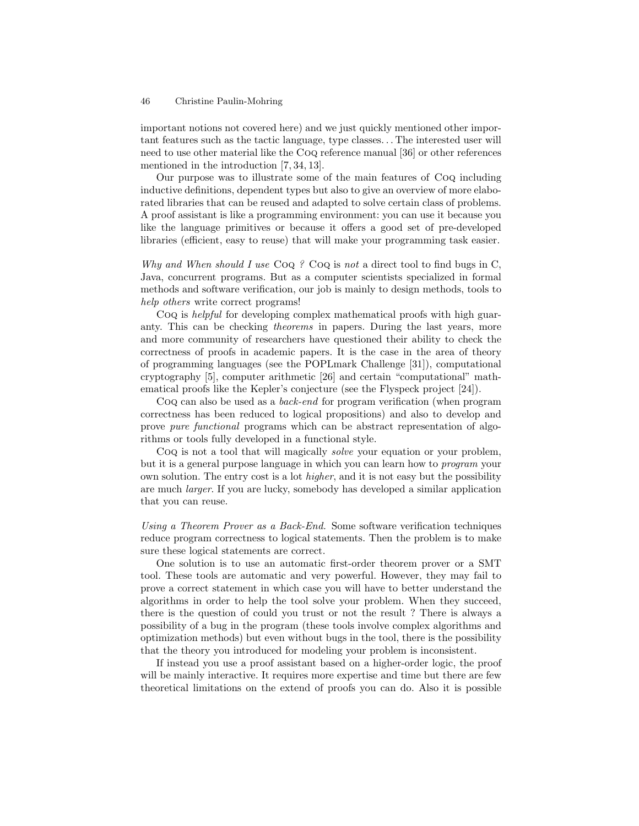important notions not covered here) and we just quickly mentioned other important features such as the tactic language, type classes. . . The interested user will need to use other material like the Coq reference manual [36] or other references mentioned in the introduction [7, 34, 13].

Our purpose was to illustrate some of the main features of Coq including inductive definitions, dependent types but also to give an overview of more elaborated libraries that can be reused and adapted to solve certain class of problems. A proof assistant is like a programming environment: you can use it because you like the language primitives or because it offers a good set of pre-developed libraries (efficient, easy to reuse) that will make your programming task easier.

Why and When should I use  $CoQ$ ?  $CoQ$  is not a direct tool to find bugs in C. Java, concurrent programs. But as a computer scientists specialized in formal methods and software verification, our job is mainly to design methods, tools to help others write correct programs!

Coq is helpful for developing complex mathematical proofs with high guaranty. This can be checking theorems in papers. During the last years, more and more community of researchers have questioned their ability to check the correctness of proofs in academic papers. It is the case in the area of theory of programming languages (see the POPLmark Challenge [31]), computational cryptography [5], computer arithmetic [26] and certain "computational" mathematical proofs like the Kepler's conjecture (see the Flyspeck project [24]).

Coq can also be used as a back-end for program verification (when program correctness has been reduced to logical propositions) and also to develop and prove pure functional programs which can be abstract representation of algorithms or tools fully developed in a functional style.

Coq is not a tool that will magically solve your equation or your problem, but it is a general purpose language in which you can learn how to program your own solution. The entry cost is a lot higher, and it is not easy but the possibility are much larger. If you are lucky, somebody has developed a similar application that you can reuse.

Using a Theorem Prover as a Back-End. Some software verification techniques reduce program correctness to logical statements. Then the problem is to make sure these logical statements are correct.

One solution is to use an automatic first-order theorem prover or a SMT tool. These tools are automatic and very powerful. However, they may fail to prove a correct statement in which case you will have to better understand the algorithms in order to help the tool solve your problem. When they succeed, there is the question of could you trust or not the result ? There is always a possibility of a bug in the program (these tools involve complex algorithms and optimization methods) but even without bugs in the tool, there is the possibility that the theory you introduced for modeling your problem is inconsistent.

If instead you use a proof assistant based on a higher-order logic, the proof will be mainly interactive. It requires more expertise and time but there are few theoretical limitations on the extend of proofs you can do. Also it is possible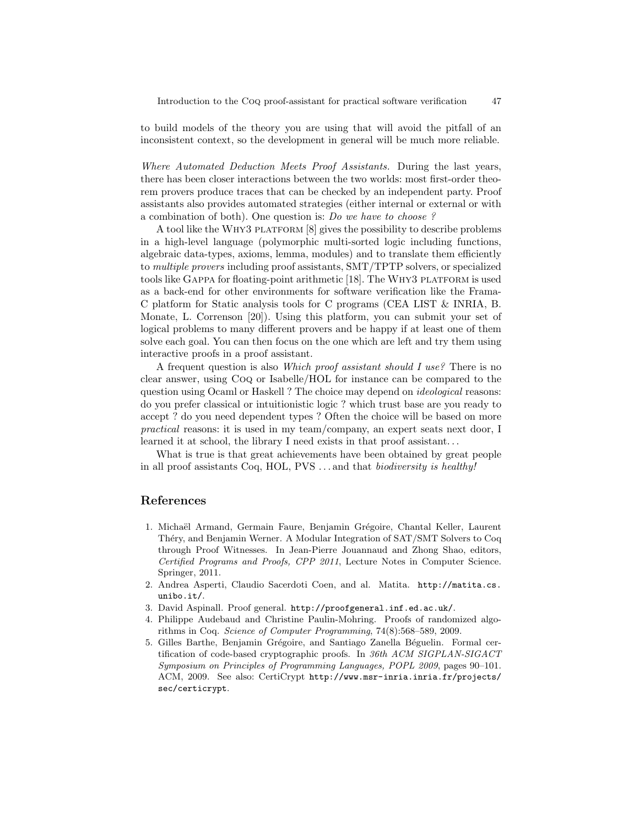to build models of the theory you are using that will avoid the pitfall of an inconsistent context, so the development in general will be much more reliable.

Where Automated Deduction Meets Proof Assistants. During the last years, there has been closer interactions between the two worlds: most first-order theorem provers produce traces that can be checked by an independent party. Proof assistants also provides automated strategies (either internal or external or with a combination of both). One question is: Do we have to choose ?

A tool like the WHY3 PLATFORM [8] gives the possibility to describe problems in a high-level language (polymorphic multi-sorted logic including functions, algebraic data-types, axioms, lemma, modules) and to translate them efficiently to multiple provers including proof assistants, SMT/TPTP solvers, or specialized tools like GAPPA for floating-point arithmetic [18]. The WHY3 PLATFORM is used as a back-end for other environments for software verification like the Frama-C platform for Static analysis tools for C programs (CEA LIST & INRIA, B. Monate, L. Correnson [20]). Using this platform, you can submit your set of logical problems to many different provers and be happy if at least one of them solve each goal. You can then focus on the one which are left and try them using interactive proofs in a proof assistant.

A frequent question is also Which proof assistant should I use? There is no clear answer, using Coq or Isabelle/HOL for instance can be compared to the question using Ocaml or Haskell ? The choice may depend on ideological reasons: do you prefer classical or intuitionistic logic ? which trust base are you ready to accept ? do you need dependent types ? Often the choice will be based on more practical reasons: it is used in my team/company, an expert seats next door, I learned it at school, the library I need exists in that proof assistant...

What is true is that great achievements have been obtained by great people in all proof assistants Coq, HOL, PVS . . . and that biodiversity is healthy!

## References

- 1. Michaël Armand, Germain Faure, Benjamin Grégoire, Chantal Keller, Laurent Théry, and Benjamin Werner. A Modular Integration of SAT/SMT Solvers to Coq through Proof Witnesses. In Jean-Pierre Jouannaud and Zhong Shao, editors, Certified Programs and Proofs, CPP 2011, Lecture Notes in Computer Science. Springer, 2011.
- 2. Andrea Asperti, Claudio Sacerdoti Coen, and al. Matita. http://matita.cs. unibo.it/.
- 3. David Aspinall. Proof general. http://proofgeneral.inf.ed.ac.uk/.
- 4. Philippe Audebaud and Christine Paulin-Mohring. Proofs of randomized algorithms in Coq. Science of Computer Programming, 74(8):568–589, 2009.
- 5. Gilles Barthe, Benjamin Grégoire, and Santiago Zanella Béguelin. Formal certification of code-based cryptographic proofs. In 36th ACM SIGPLAN-SIGACT Symposium on Principles of Programming Languages, POPL 2009, pages 90–101. ACM, 2009. See also: CertiCrypt http://www.msr-inria.inria.fr/projects/ sec/certicrypt.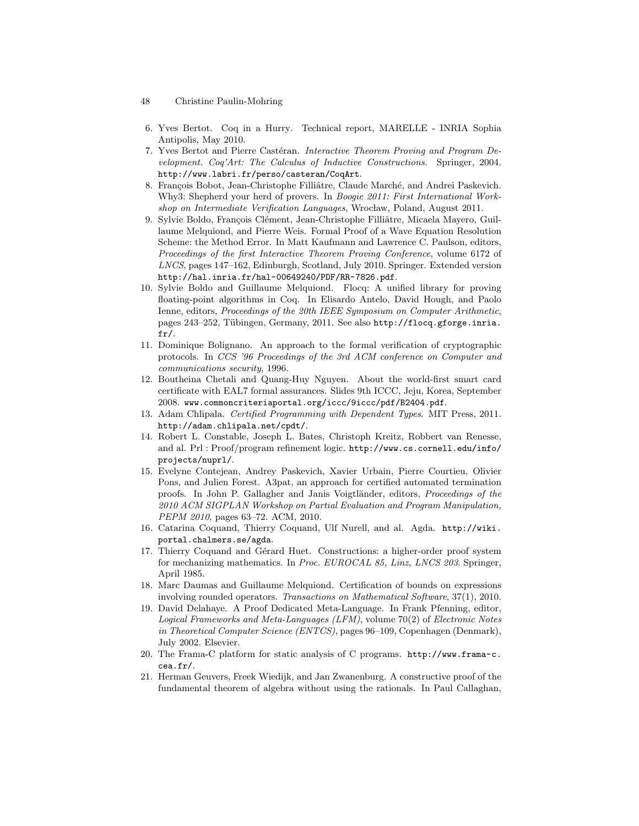- 48 Christine Paulin-Mohring
- 6. Yves Bertot. Coq in a Hurry. Technical report, MARELLE INRIA Sophia Antipolis, May 2010.
- 7. Yves Bertot and Pierre Castéran. Interactive Theorem Proving and Program Development. Coq'Art: The Calculus of Inductive Constructions. Springer, 2004. http://www.labri.fr/perso/casteran/CoqArt.
- 8. François Bobot, Jean-Christophe Filliâtre, Claude Marché, and Andrei Paskevich. Why3: Shepherd your herd of provers. In *Boogie 2011: First International Work*shop on Intermediate Verification Languages, Wrocław, Poland, August 2011.
- 9. Sylvie Boldo, François Clément, Jean-Christophe Filliâtre, Micaela Mayero, Guillaume Melquiond, and Pierre Weis. Formal Proof of a Wave Equation Resolution Scheme: the Method Error. In Matt Kaufmann and Lawrence C. Paulson, editors, Proceedings of the first Interactive Theorem Proving Conference, volume 6172 of LNCS, pages 147–162, Edinburgh, Scotland, July 2010. Springer. Extended version http://hal.inria.fr/hal-00649240/PDF/RR-7826.pdf.
- 10. Sylvie Boldo and Guillaume Melquiond. Flocq: A unified library for proving floating-point algorithms in Coq. In Elisardo Antelo, David Hough, and Paolo Ienne, editors, Proceedings of the 20th IEEE Symposium on Computer Arithmetic, pages 243–252, Tübingen, Germany, 2011. See also http://flocq.gforge.inria. fr/.
- 11. Dominique Bolignano. An approach to the formal verification of cryptographic protocols. In CCS '96 Proceedings of the 3rd ACM conference on Computer and communications security, 1996.
- 12. Boutheina Chetali and Quang-Huy Nguyen. About the world-first smart card certificate with EAL7 formal assurances. Slides 9th ICCC, Jeju, Korea, September 2008. www.commoncriteriaportal.org/iccc/9iccc/pdf/B2404.pdf.
- 13. Adam Chlipala. Certified Programming with Dependent Types. MIT Press, 2011. http://adam.chlipala.net/cpdt/.
- 14. Robert L. Constable, Joseph L. Bates, Christoph Kreitz, Robbert van Renesse, and al. Prl : Proof/program refinement logic. http://www.cs.cornell.edu/info/ projects/nuprl/.
- 15. Evelyne Contejean, Andrey Paskevich, Xavier Urbain, Pierre Courtieu, Olivier Pons, and Julien Forest. A3pat, an approach for certified automated termination proofs. In John P. Gallagher and Janis Voigtländer, editors, Proceedings of the 2010 ACM SIGPLAN Workshop on Partial Evaluation and Program Manipulation, PEPM 2010, pages 63–72. ACM, 2010.
- 16. Catarina Coquand, Thierry Coquand, Ulf Nurell, and al. Agda. http://wiki. portal.chalmers.se/agda.
- 17. Thierry Coquand and Gérard Huet. Constructions: a higher-order proof system for mechanizing mathematics. In Proc. EUROCAL 85, Linz, LNCS 203. Springer, April 1985.
- 18. Marc Daumas and Guillaume Melquiond. Certification of bounds on expressions involving rounded operators. Transactions on Mathematical Software, 37(1), 2010.
- 19. David Delahaye. A Proof Dedicated Meta-Language. In Frank Pfenning, editor, Logical Frameworks and Meta-Languages (LFM), volume 70(2) of Electronic Notes in Theoretical Computer Science (ENTCS), pages 96–109, Copenhagen (Denmark), July 2002. Elsevier.
- 20. The Frama-C platform for static analysis of C programs. http://www.frama-c. cea.fr/.
- 21. Herman Geuvers, Freek Wiedijk, and Jan Zwanenburg. A constructive proof of the fundamental theorem of algebra without using the rationals. In Paul Callaghan,